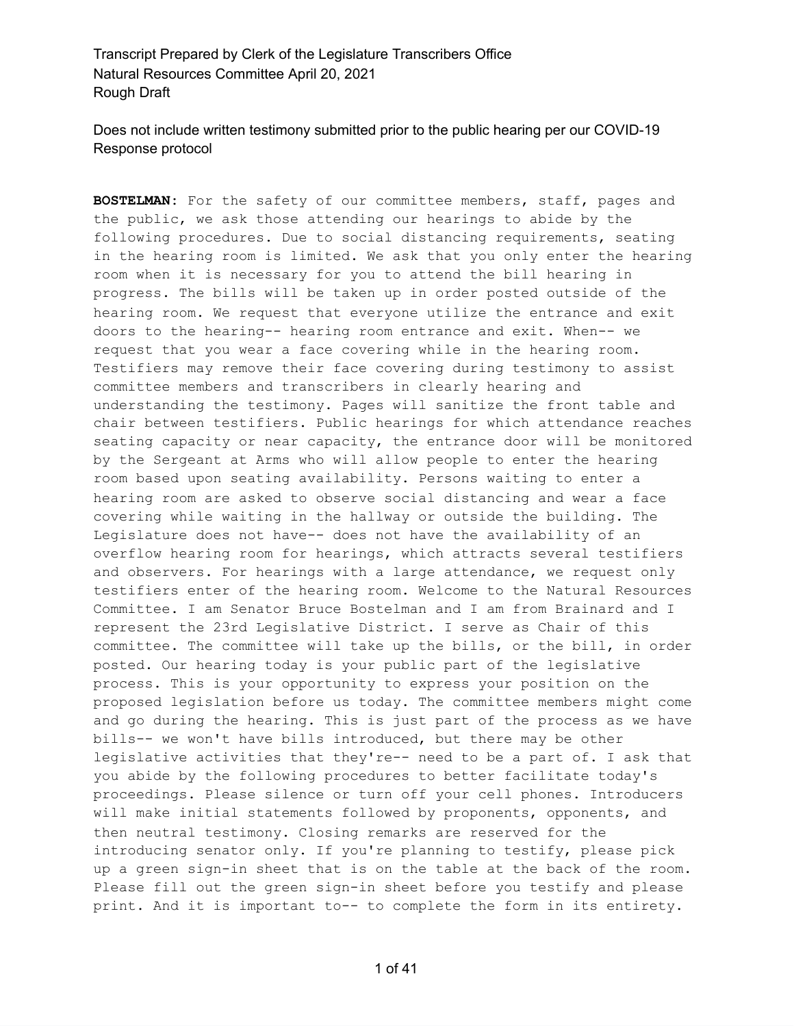Does not include written testimony submitted prior to the public hearing per our COVID-19 Response protocol

**BOSTELMAN:** For the safety of our committee members, staff, pages and the public, we ask those attending our hearings to abide by the following procedures. Due to social distancing requirements, seating in the hearing room is limited. We ask that you only enter the hearing room when it is necessary for you to attend the bill hearing in progress. The bills will be taken up in order posted outside of the hearing room. We request that everyone utilize the entrance and exit doors to the hearing-- hearing room entrance and exit. When-- we request that you wear a face covering while in the hearing room. Testifiers may remove their face covering during testimony to assist committee members and transcribers in clearly hearing and understanding the testimony. Pages will sanitize the front table and chair between testifiers. Public hearings for which attendance reaches seating capacity or near capacity, the entrance door will be monitored by the Sergeant at Arms who will allow people to enter the hearing room based upon seating availability. Persons waiting to enter a hearing room are asked to observe social distancing and wear a face covering while waiting in the hallway or outside the building. The Legislature does not have-- does not have the availability of an overflow hearing room for hearings, which attracts several testifiers and observers. For hearings with a large attendance, we request only testifiers enter of the hearing room. Welcome to the Natural Resources Committee. I am Senator Bruce Bostelman and I am from Brainard and I represent the 23rd Legislative District. I serve as Chair of this committee. The committee will take up the bills, or the bill, in order posted. Our hearing today is your public part of the legislative process. This is your opportunity to express your position on the proposed legislation before us today. The committee members might come and go during the hearing. This is just part of the process as we have bills-- we won't have bills introduced, but there may be other legislative activities that they're-- need to be a part of. I ask that you abide by the following procedures to better facilitate today's proceedings. Please silence or turn off your cell phones. Introducers will make initial statements followed by proponents, opponents, and then neutral testimony. Closing remarks are reserved for the introducing senator only. If you're planning to testify, please pick up a green sign-in sheet that is on the table at the back of the room. Please fill out the green sign-in sheet before you testify and please print. And it is important to-- to complete the form in its entirety.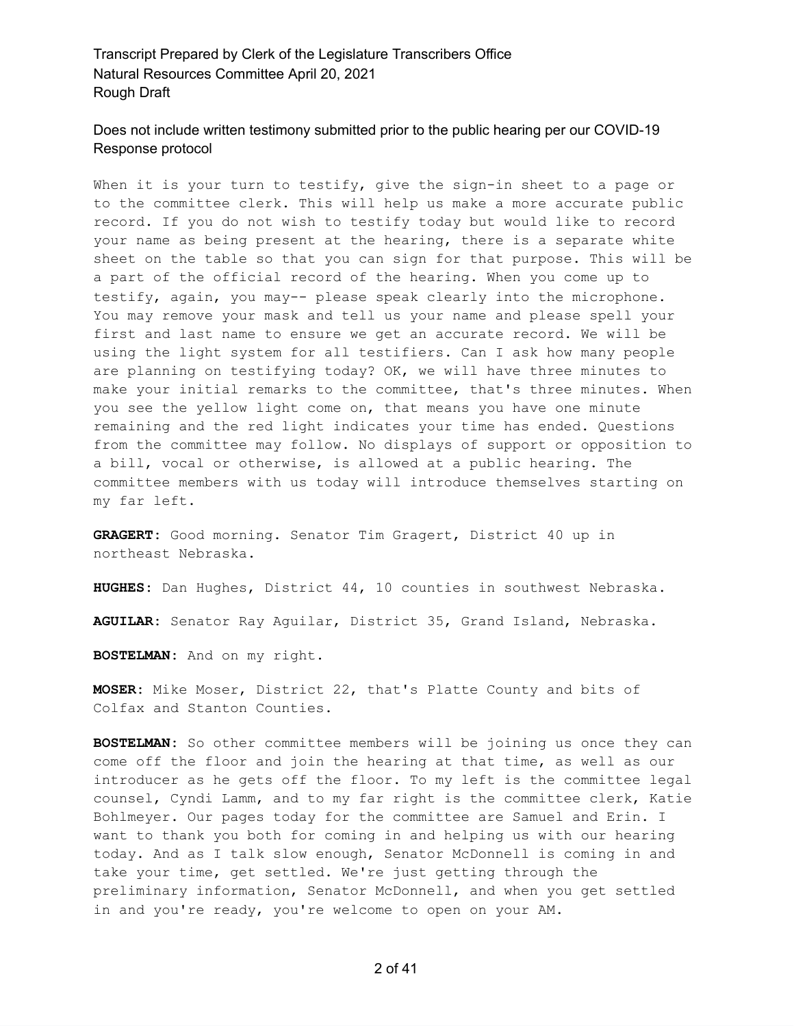#### Does not include written testimony submitted prior to the public hearing per our COVID-19 Response protocol

When it is your turn to testify, give the sign-in sheet to a page or to the committee clerk. This will help us make a more accurate public record. If you do not wish to testify today but would like to record your name as being present at the hearing, there is a separate white sheet on the table so that you can sign for that purpose. This will be a part of the official record of the hearing. When you come up to testify, again, you may-- please speak clearly into the microphone. You may remove your mask and tell us your name and please spell your first and last name to ensure we get an accurate record. We will be using the light system for all testifiers. Can I ask how many people are planning on testifying today? OK, we will have three minutes to make your initial remarks to the committee, that's three minutes. When you see the yellow light come on, that means you have one minute remaining and the red light indicates your time has ended. Questions from the committee may follow. No displays of support or opposition to a bill, vocal or otherwise, is allowed at a public hearing. The committee members with us today will introduce themselves starting on my far left.

**GRAGERT:** Good morning. Senator Tim Gragert, District 40 up in northeast Nebraska.

**HUGHES:** Dan Hughes, District 44, 10 counties in southwest Nebraska.

**AGUILAR:** Senator Ray Aguilar, District 35, Grand Island, Nebraska.

**BOSTELMAN:** And on my right.

**MOSER:** Mike Moser, District 22, that's Platte County and bits of Colfax and Stanton Counties.

**BOSTELMAN:** So other committee members will be joining us once they can come off the floor and join the hearing at that time, as well as our introducer as he gets off the floor. To my left is the committee legal counsel, Cyndi Lamm, and to my far right is the committee clerk, Katie Bohlmeyer. Our pages today for the committee are Samuel and Erin. I want to thank you both for coming in and helping us with our hearing today. And as I talk slow enough, Senator McDonnell is coming in and take your time, get settled. We're just getting through the preliminary information, Senator McDonnell, and when you get settled in and you're ready, you're welcome to open on your AM.

2 of 41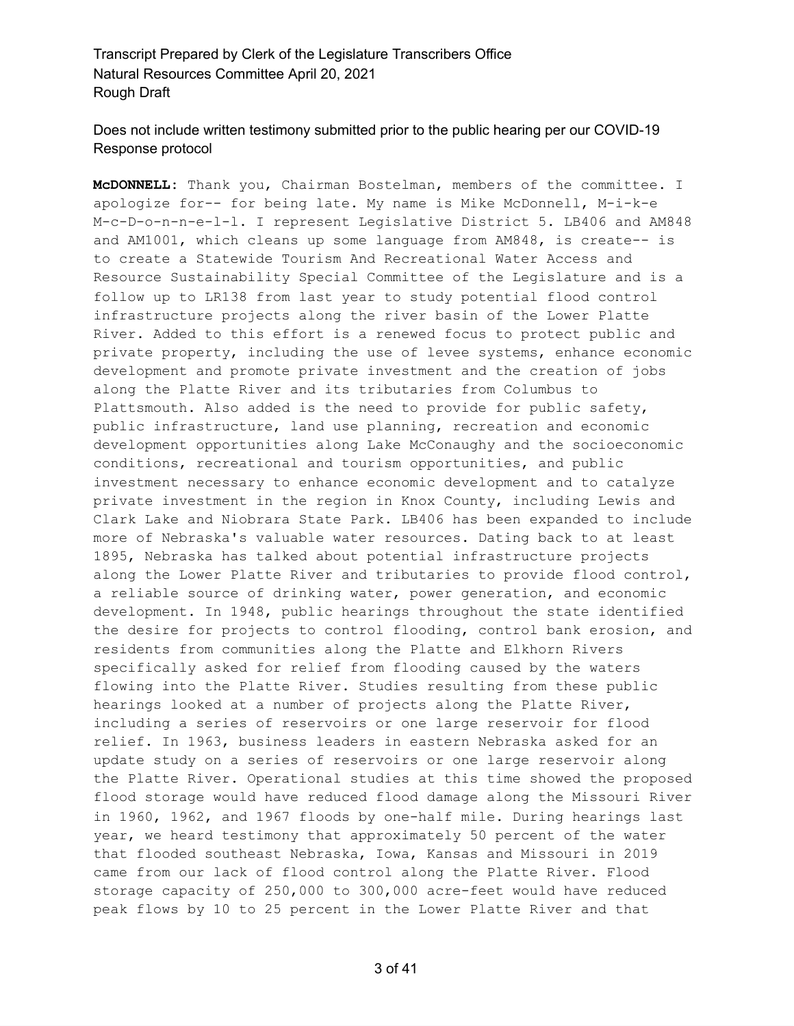# Does not include written testimony submitted prior to the public hearing per our COVID-19 Response protocol

**McDONNELL:** Thank you, Chairman Bostelman, members of the committee. I apologize for-- for being late. My name is Mike McDonnell, M-i-k-e M-c-D-o-n-n-e-l-l. I represent Legislative District 5. LB406 and AM848 and AM1001, which cleans up some language from AM848, is create-- is to create a Statewide Tourism And Recreational Water Access and Resource Sustainability Special Committee of the Legislature and is a follow up to LR138 from last year to study potential flood control infrastructure projects along the river basin of the Lower Platte River. Added to this effort is a renewed focus to protect public and private property, including the use of levee systems, enhance economic development and promote private investment and the creation of jobs along the Platte River and its tributaries from Columbus to Plattsmouth. Also added is the need to provide for public safety, public infrastructure, land use planning, recreation and economic development opportunities along Lake McConaughy and the socioeconomic conditions, recreational and tourism opportunities, and public investment necessary to enhance economic development and to catalyze private investment in the region in Knox County, including Lewis and Clark Lake and Niobrara State Park. LB406 has been expanded to include more of Nebraska's valuable water resources. Dating back to at least 1895, Nebraska has talked about potential infrastructure projects along the Lower Platte River and tributaries to provide flood control, a reliable source of drinking water, power generation, and economic development. In 1948, public hearings throughout the state identified the desire for projects to control flooding, control bank erosion, and residents from communities along the Platte and Elkhorn Rivers specifically asked for relief from flooding caused by the waters flowing into the Platte River. Studies resulting from these public hearings looked at a number of projects along the Platte River, including a series of reservoirs or one large reservoir for flood relief. In 1963, business leaders in eastern Nebraska asked for an update study on a series of reservoirs or one large reservoir along the Platte River. Operational studies at this time showed the proposed flood storage would have reduced flood damage along the Missouri River in 1960, 1962, and 1967 floods by one-half mile. During hearings last year, we heard testimony that approximately 50 percent of the water that flooded southeast Nebraska, Iowa, Kansas and Missouri in 2019 came from our lack of flood control along the Platte River. Flood storage capacity of 250,000 to 300,000 acre-feet would have reduced peak flows by 10 to 25 percent in the Lower Platte River and that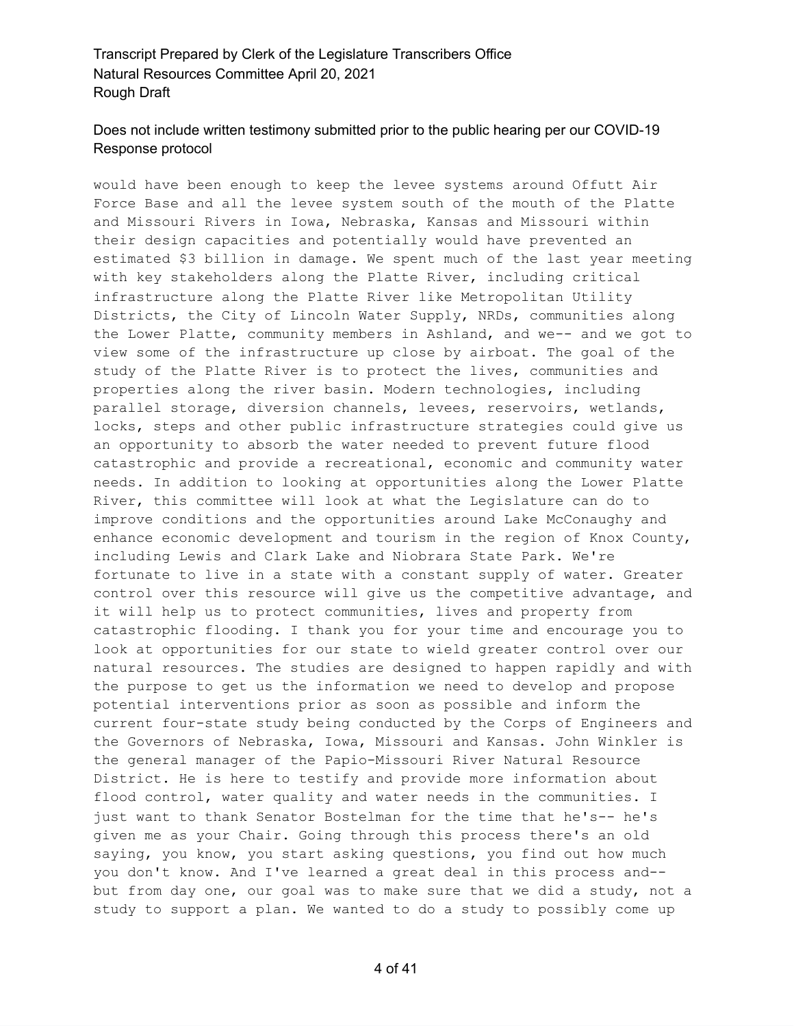# Does not include written testimony submitted prior to the public hearing per our COVID-19 Response protocol

would have been enough to keep the levee systems around Offutt Air Force Base and all the levee system south of the mouth of the Platte and Missouri Rivers in Iowa, Nebraska, Kansas and Missouri within their design capacities and potentially would have prevented an estimated \$3 billion in damage. We spent much of the last year meeting with key stakeholders along the Platte River, including critical infrastructure along the Platte River like Metropolitan Utility Districts, the City of Lincoln Water Supply, NRDs, communities along the Lower Platte, community members in Ashland, and we-- and we got to view some of the infrastructure up close by airboat. The goal of the study of the Platte River is to protect the lives, communities and properties along the river basin. Modern technologies, including parallel storage, diversion channels, levees, reservoirs, wetlands, locks, steps and other public infrastructure strategies could give us an opportunity to absorb the water needed to prevent future flood catastrophic and provide a recreational, economic and community water needs. In addition to looking at opportunities along the Lower Platte River, this committee will look at what the Legislature can do to improve conditions and the opportunities around Lake McConaughy and enhance economic development and tourism in the region of Knox County, including Lewis and Clark Lake and Niobrara State Park. We're fortunate to live in a state with a constant supply of water. Greater control over this resource will give us the competitive advantage, and it will help us to protect communities, lives and property from catastrophic flooding. I thank you for your time and encourage you to look at opportunities for our state to wield greater control over our natural resources. The studies are designed to happen rapidly and with the purpose to get us the information we need to develop and propose potential interventions prior as soon as possible and inform the current four-state study being conducted by the Corps of Engineers and the Governors of Nebraska, Iowa, Missouri and Kansas. John Winkler is the general manager of the Papio-Missouri River Natural Resource District. He is here to testify and provide more information about flood control, water quality and water needs in the communities. I just want to thank Senator Bostelman for the time that he's-- he's given me as your Chair. Going through this process there's an old saying, you know, you start asking questions, you find out how much you don't know. And I've learned a great deal in this process and- but from day one, our goal was to make sure that we did a study, not a study to support a plan. We wanted to do a study to possibly come up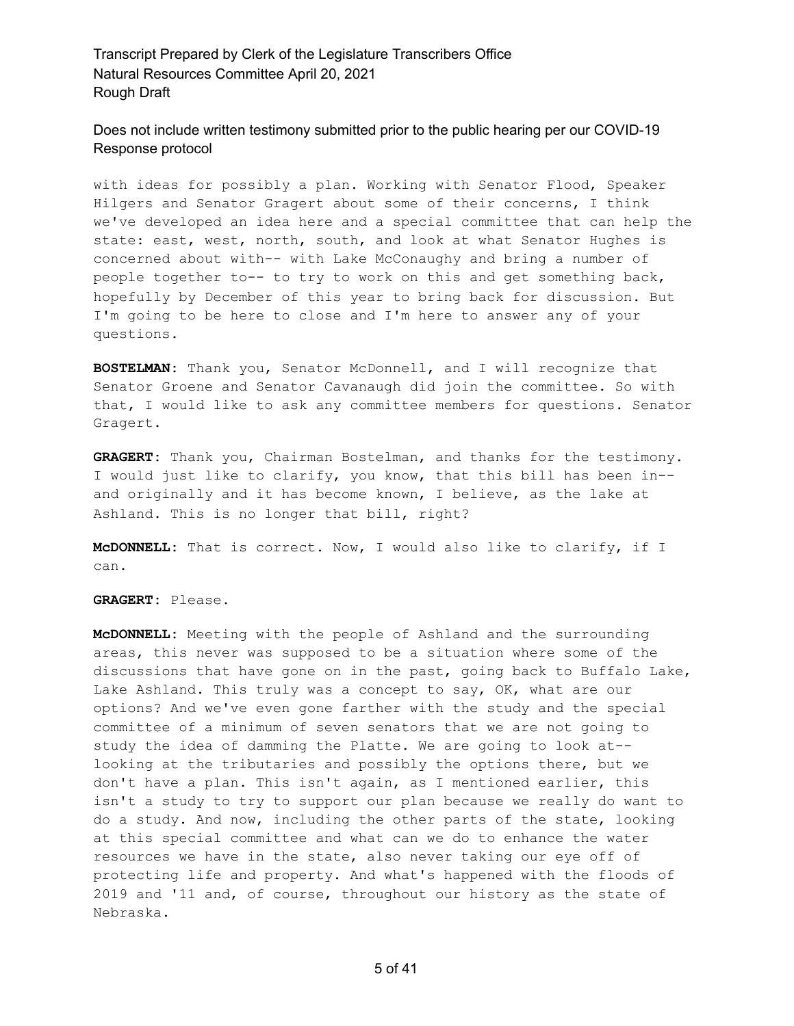Does not include written testimony submitted prior to the public hearing per our COVID-19 Response protocol

with ideas for possibly a plan. Working with Senator Flood, Speaker Hilgers and Senator Gragert about some of their concerns, I think we've developed an idea here and a special committee that can help the state: east, west, north, south, and look at what Senator Hughes is concerned about with-- with Lake McConaughy and bring a number of people together to-- to try to work on this and get something back, hopefully by December of this year to bring back for discussion. But I'm going to be here to close and I'm here to answer any of your questions.

**BOSTELMAN:** Thank you, Senator McDonnell, and I will recognize that Senator Groene and Senator Cavanaugh did join the committee. So with that, I would like to ask any committee members for questions. Senator Gragert.

**GRAGERT:** Thank you, Chairman Bostelman, and thanks for the testimony. I would just like to clarify, you know, that this bill has been in- and originally and it has become known, I believe, as the lake at Ashland. This is no longer that bill, right?

**McDONNELL:** That is correct. Now, I would also like to clarify, if I can.

**GRAGERT:** Please.

**McDONNELL:** Meeting with the people of Ashland and the surrounding areas, this never was supposed to be a situation where some of the discussions that have gone on in the past, going back to Buffalo Lake, Lake Ashland. This truly was a concept to say, OK, what are our options? And we've even gone farther with the study and the special committee of a minimum of seven senators that we are not going to study the idea of damming the Platte. We are going to look at- looking at the tributaries and possibly the options there, but we don't have a plan. This isn't again, as I mentioned earlier, this isn't a study to try to support our plan because we really do want to do a study. And now, including the other parts of the state, looking at this special committee and what can we do to enhance the water resources we have in the state, also never taking our eye off of protecting life and property. And what's happened with the floods of 2019 and '11 and, of course, throughout our history as the state of Nebraska.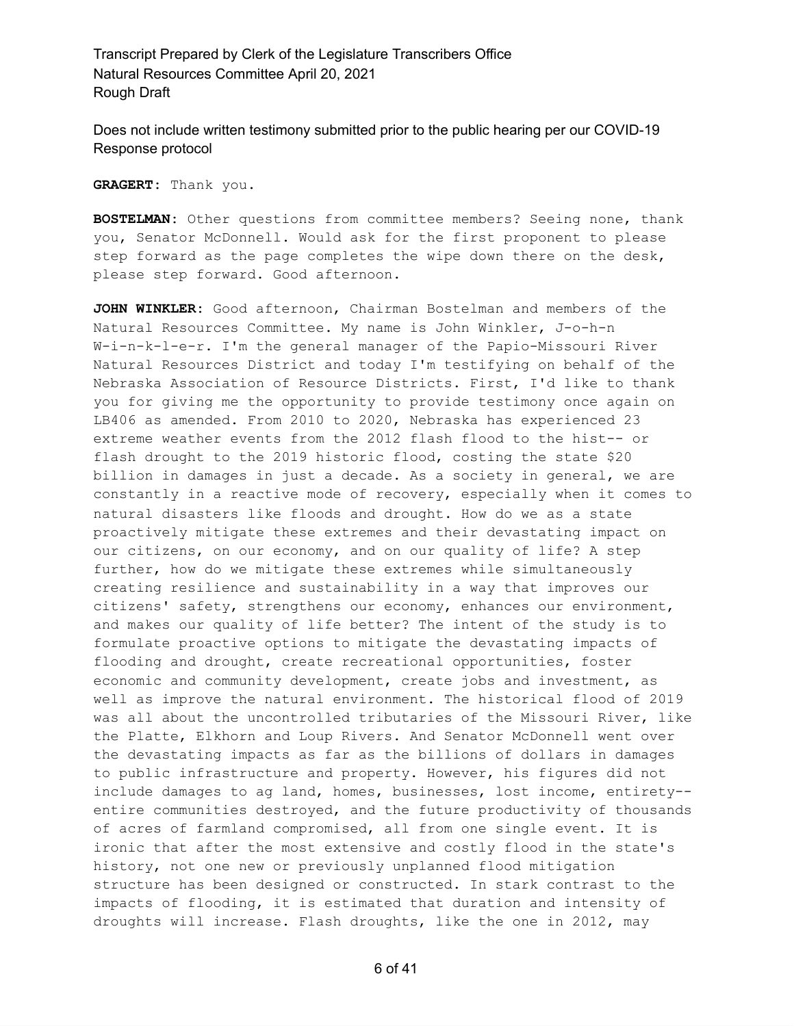Does not include written testimony submitted prior to the public hearing per our COVID-19 Response protocol

**GRAGERT:** Thank you.

**BOSTELMAN:** Other questions from committee members? Seeing none, thank you, Senator McDonnell. Would ask for the first proponent to please step forward as the page completes the wipe down there on the desk, please step forward. Good afternoon.

**JOHN WINKLER:** Good afternoon, Chairman Bostelman and members of the Natural Resources Committee. My name is John Winkler, J-o-h-n W-i-n-k-l-e-r. I'm the general manager of the Papio-Missouri River Natural Resources District and today I'm testifying on behalf of the Nebraska Association of Resource Districts. First, I'd like to thank you for giving me the opportunity to provide testimony once again on LB406 as amended. From 2010 to 2020, Nebraska has experienced 23 extreme weather events from the 2012 flash flood to the hist-- or flash drought to the 2019 historic flood, costing the state \$20 billion in damages in just a decade. As a society in general, we are constantly in a reactive mode of recovery, especially when it comes to natural disasters like floods and drought. How do we as a state proactively mitigate these extremes and their devastating impact on our citizens, on our economy, and on our quality of life? A step further, how do we mitigate these extremes while simultaneously creating resilience and sustainability in a way that improves our citizens' safety, strengthens our economy, enhances our environment, and makes our quality of life better? The intent of the study is to formulate proactive options to mitigate the devastating impacts of flooding and drought, create recreational opportunities, foster economic and community development, create jobs and investment, as well as improve the natural environment. The historical flood of 2019 was all about the uncontrolled tributaries of the Missouri River, like the Platte, Elkhorn and Loup Rivers. And Senator McDonnell went over the devastating impacts as far as the billions of dollars in damages to public infrastructure and property. However, his figures did not include damages to ag land, homes, businesses, lost income, entirety- entire communities destroyed, and the future productivity of thousands of acres of farmland compromised, all from one single event. It is ironic that after the most extensive and costly flood in the state's history, not one new or previously unplanned flood mitigation structure has been designed or constructed. In stark contrast to the impacts of flooding, it is estimated that duration and intensity of droughts will increase. Flash droughts, like the one in 2012, may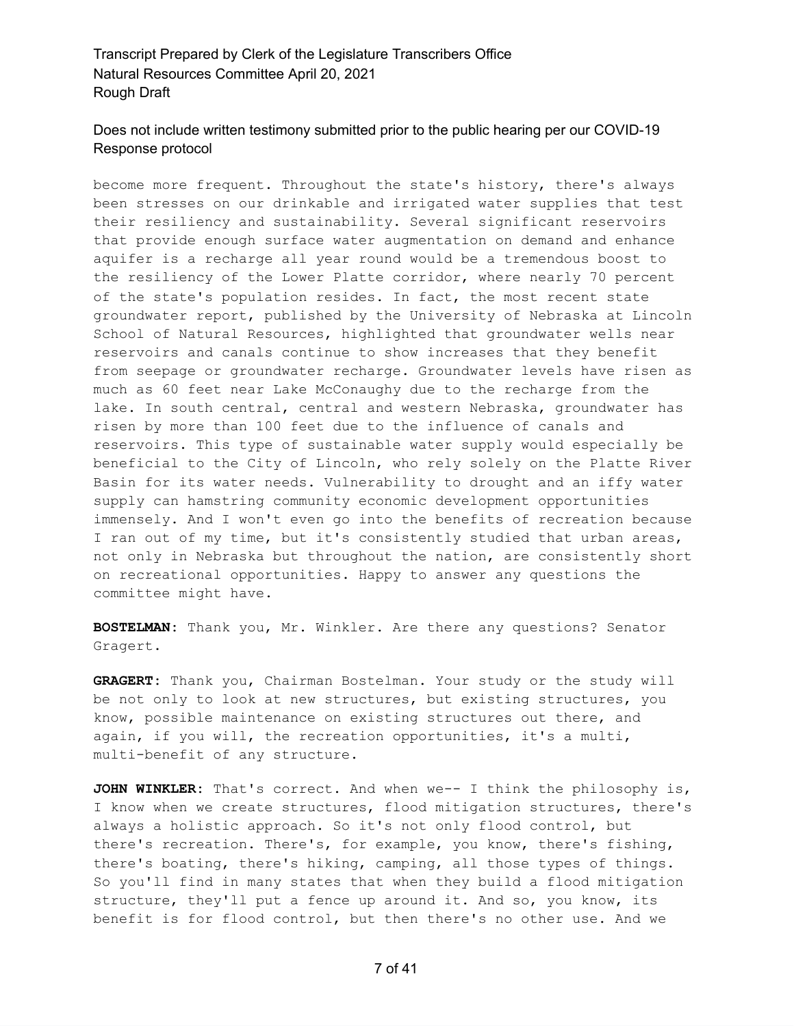# Does not include written testimony submitted prior to the public hearing per our COVID-19 Response protocol

become more frequent. Throughout the state's history, there's always been stresses on our drinkable and irrigated water supplies that test their resiliency and sustainability. Several significant reservoirs that provide enough surface water augmentation on demand and enhance aquifer is a recharge all year round would be a tremendous boost to the resiliency of the Lower Platte corridor, where nearly 70 percent of the state's population resides. In fact, the most recent state groundwater report, published by the University of Nebraska at Lincoln School of Natural Resources, highlighted that groundwater wells near reservoirs and canals continue to show increases that they benefit from seepage or groundwater recharge. Groundwater levels have risen as much as 60 feet near Lake McConaughy due to the recharge from the lake. In south central, central and western Nebraska, groundwater has risen by more than 100 feet due to the influence of canals and reservoirs. This type of sustainable water supply would especially be beneficial to the City of Lincoln, who rely solely on the Platte River Basin for its water needs. Vulnerability to drought and an iffy water supply can hamstring community economic development opportunities immensely. And I won't even go into the benefits of recreation because I ran out of my time, but it's consistently studied that urban areas, not only in Nebraska but throughout the nation, are consistently short on recreational opportunities. Happy to answer any questions the committee might have.

**BOSTELMAN:** Thank you, Mr. Winkler. Are there any questions? Senator Gragert.

**GRAGERT:** Thank you, Chairman Bostelman. Your study or the study will be not only to look at new structures, but existing structures, you know, possible maintenance on existing structures out there, and again, if you will, the recreation opportunities, it's a multi, multi-benefit of any structure.

**JOHN WINKLER:** That's correct. And when we-- I think the philosophy is, I know when we create structures, flood mitigation structures, there's always a holistic approach. So it's not only flood control, but there's recreation. There's, for example, you know, there's fishing, there's boating, there's hiking, camping, all those types of things. So you'll find in many states that when they build a flood mitigation structure, they'll put a fence up around it. And so, you know, its benefit is for flood control, but then there's no other use. And we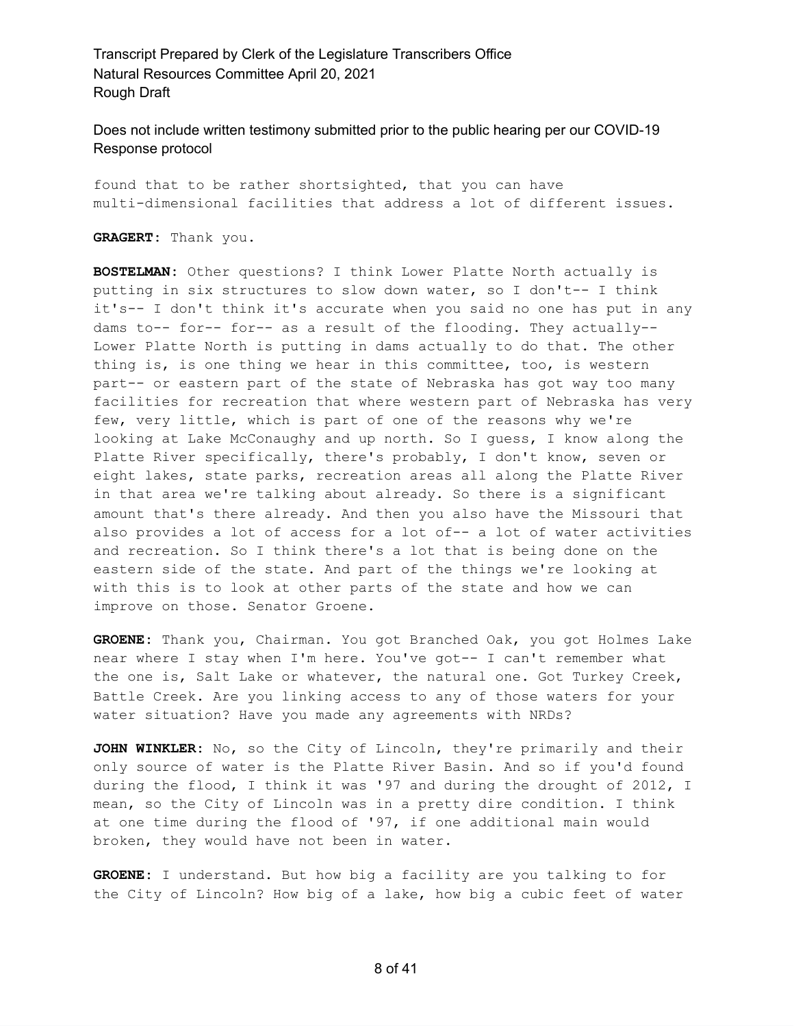Does not include written testimony submitted prior to the public hearing per our COVID-19 Response protocol

found that to be rather shortsighted, that you can have multi-dimensional facilities that address a lot of different issues.

**GRAGERT:** Thank you.

**BOSTELMAN:** Other questions? I think Lower Platte North actually is putting in six structures to slow down water, so I don't-- I think it's-- I don't think it's accurate when you said no one has put in any dams to-- for-- for-- as a result of the flooding. They actually-- Lower Platte North is putting in dams actually to do that. The other thing is, is one thing we hear in this committee, too, is western part-- or eastern part of the state of Nebraska has got way too many facilities for recreation that where western part of Nebraska has very few, very little, which is part of one of the reasons why we're looking at Lake McConaughy and up north. So I guess, I know along the Platte River specifically, there's probably, I don't know, seven or eight lakes, state parks, recreation areas all along the Platte River in that area we're talking about already. So there is a significant amount that's there already. And then you also have the Missouri that also provides a lot of access for a lot of-- a lot of water activities and recreation. So I think there's a lot that is being done on the eastern side of the state. And part of the things we're looking at with this is to look at other parts of the state and how we can improve on those. Senator Groene.

**GROENE:** Thank you, Chairman. You got Branched Oak, you got Holmes Lake near where I stay when I'm here. You've got-- I can't remember what the one is, Salt Lake or whatever, the natural one. Got Turkey Creek, Battle Creek. Are you linking access to any of those waters for your water situation? Have you made any agreements with NRDs?

**JOHN WINKLER:** No, so the City of Lincoln, they're primarily and their only source of water is the Platte River Basin. And so if you'd found during the flood, I think it was '97 and during the drought of 2012, I mean, so the City of Lincoln was in a pretty dire condition. I think at one time during the flood of '97, if one additional main would broken, they would have not been in water.

**GROENE:** I understand. But how big a facility are you talking to for the City of Lincoln? How big of a lake, how big a cubic feet of water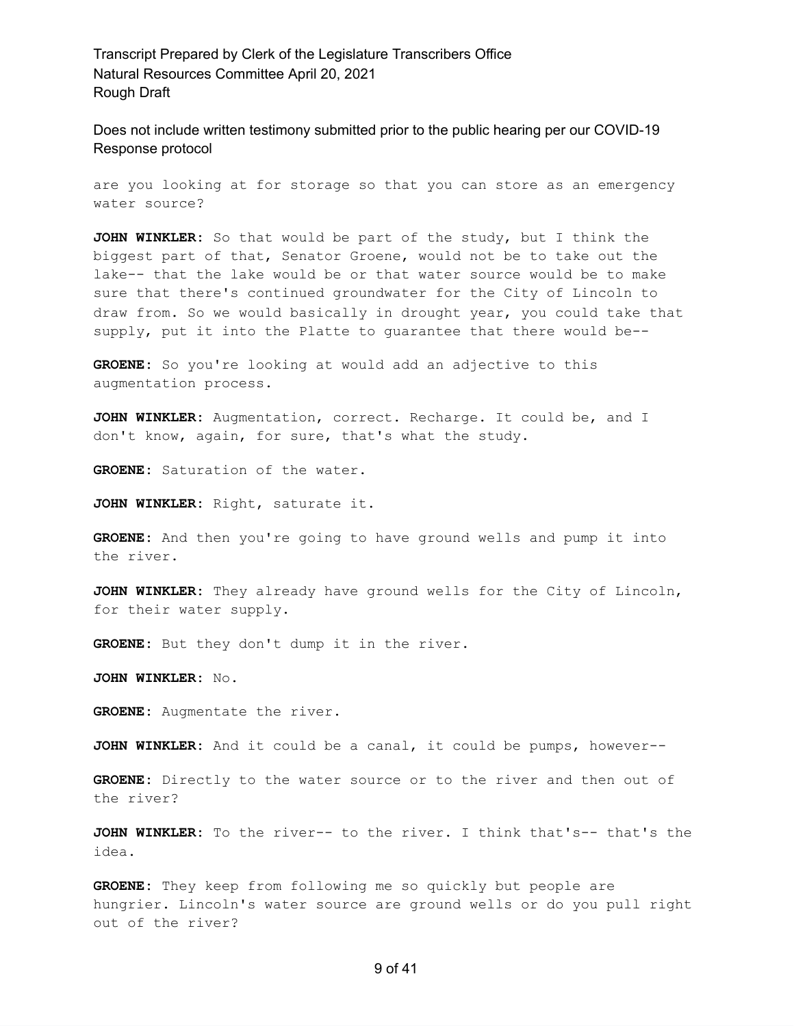Does not include written testimony submitted prior to the public hearing per our COVID-19 Response protocol

are you looking at for storage so that you can store as an emergency water source?

**JOHN WINKLER:** So that would be part of the study, but I think the biggest part of that, Senator Groene, would not be to take out the lake-- that the lake would be or that water source would be to make sure that there's continued groundwater for the City of Lincoln to draw from. So we would basically in drought year, you could take that supply, put it into the Platte to guarantee that there would be--

**GROENE:** So you're looking at would add an adjective to this augmentation process.

**JOHN WINKLER:** Augmentation, correct. Recharge. It could be, and I don't know, again, for sure, that's what the study.

**GROENE:** Saturation of the water.

**JOHN WINKLER:** Right, saturate it.

**GROENE:** And then you're going to have ground wells and pump it into the river.

**JOHN WINKLER:** They already have ground wells for the City of Lincoln, for their water supply.

**GROENE:** But they don't dump it in the river.

**JOHN WINKLER:** No.

**GROENE:** Augmentate the river.

**JOHN WINKLER:** And it could be a canal, it could be pumps, however--

**GROENE:** Directly to the water source or to the river and then out of the river?

**JOHN WINKLER:** To the river-- to the river. I think that's-- that's the idea.

**GROENE:** They keep from following me so quickly but people are hungrier. Lincoln's water source are ground wells or do you pull right out of the river?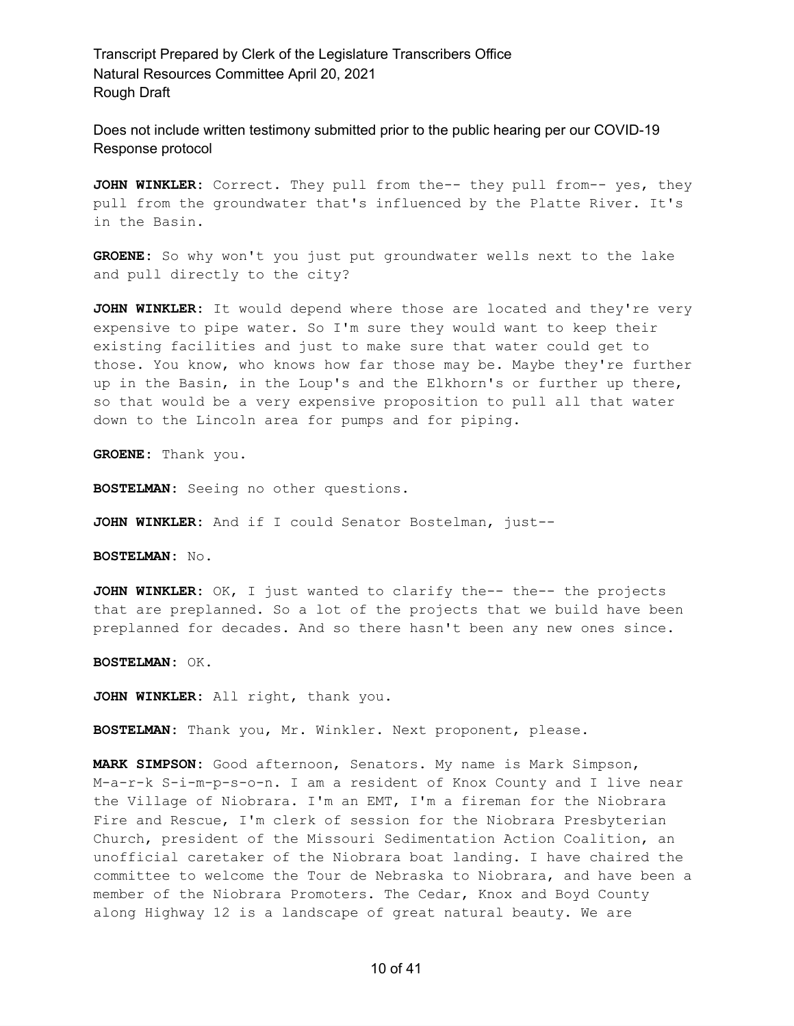Does not include written testimony submitted prior to the public hearing per our COVID-19 Response protocol

JOHN WINKLER: Correct. They pull from the-- they pull from-- yes, they pull from the groundwater that's influenced by the Platte River. It's in the Basin.

**GROENE:** So why won't you just put groundwater wells next to the lake and pull directly to the city?

**JOHN WINKLER:** It would depend where those are located and they're very expensive to pipe water. So I'm sure they would want to keep their existing facilities and just to make sure that water could get to those. You know, who knows how far those may be. Maybe they're further up in the Basin, in the Loup's and the Elkhorn's or further up there, so that would be a very expensive proposition to pull all that water down to the Lincoln area for pumps and for piping.

**GROENE:** Thank you.

**BOSTELMAN:** Seeing no other questions.

**JOHN WINKLER:** And if I could Senator Bostelman, just--

**BOSTELMAN:** No.

**JOHN WINKLER:** OK, I just wanted to clarify the-- the-- the projects that are preplanned. So a lot of the projects that we build have been preplanned for decades. And so there hasn't been any new ones since.

**BOSTELMAN:** OK.

**JOHN WINKLER:** All right, thank you.

**BOSTELMAN:** Thank you, Mr. Winkler. Next proponent, please.

**MARK SIMPSON:** Good afternoon, Senators. My name is Mark Simpson, M-a-r-k S-i-m-p-s-o-n. I am a resident of Knox County and I live near the Village of Niobrara. I'm an EMT, I'm a fireman for the Niobrara Fire and Rescue, I'm clerk of session for the Niobrara Presbyterian Church, president of the Missouri Sedimentation Action Coalition, an unofficial caretaker of the Niobrara boat landing. I have chaired the committee to welcome the Tour de Nebraska to Niobrara, and have been a member of the Niobrara Promoters. The Cedar, Knox and Boyd County along Highway 12 is a landscape of great natural beauty. We are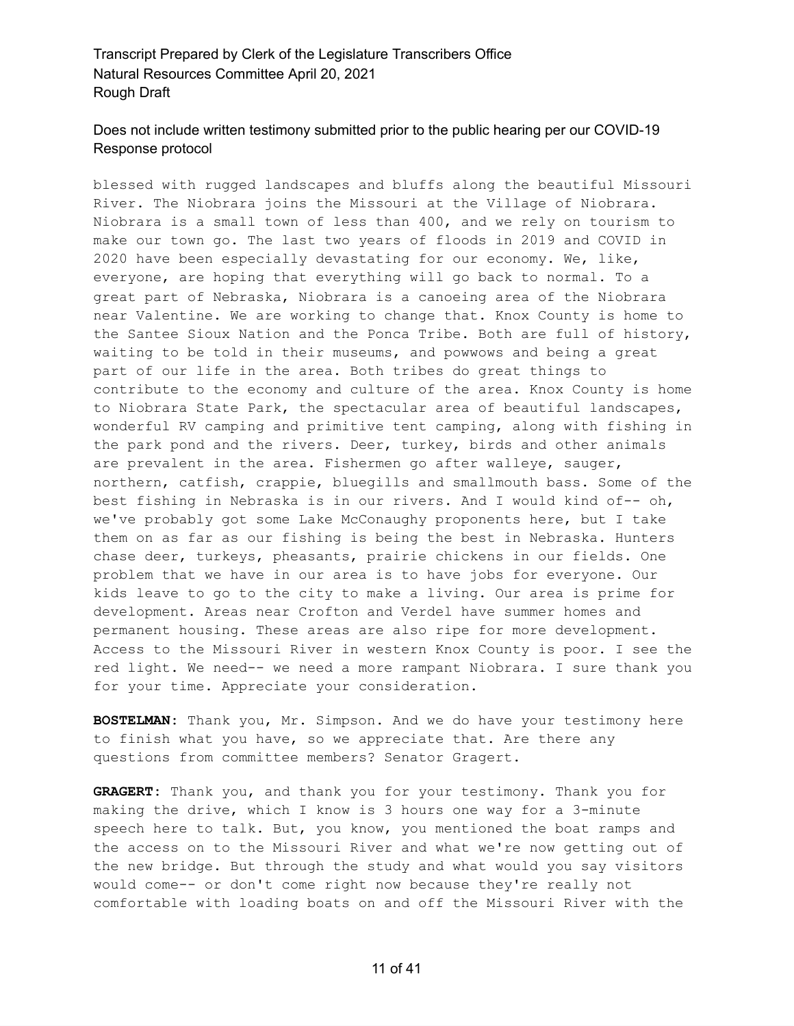# Does not include written testimony submitted prior to the public hearing per our COVID-19 Response protocol

blessed with rugged landscapes and bluffs along the beautiful Missouri River. The Niobrara joins the Missouri at the Village of Niobrara. Niobrara is a small town of less than 400, and we rely on tourism to make our town go. The last two years of floods in 2019 and COVID in 2020 have been especially devastating for our economy. We, like, everyone, are hoping that everything will go back to normal. To a great part of Nebraska, Niobrara is a canoeing area of the Niobrara near Valentine. We are working to change that. Knox County is home to the Santee Sioux Nation and the Ponca Tribe. Both are full of history, waiting to be told in their museums, and powwows and being a great part of our life in the area. Both tribes do great things to contribute to the economy and culture of the area. Knox County is home to Niobrara State Park, the spectacular area of beautiful landscapes, wonderful RV camping and primitive tent camping, along with fishing in the park pond and the rivers. Deer, turkey, birds and other animals are prevalent in the area. Fishermen go after walleye, sauger, northern, catfish, crappie, bluegills and smallmouth bass. Some of the best fishing in Nebraska is in our rivers. And I would kind of-- oh, we've probably got some Lake McConaughy proponents here, but I take them on as far as our fishing is being the best in Nebraska. Hunters chase deer, turkeys, pheasants, prairie chickens in our fields. One problem that we have in our area is to have jobs for everyone. Our kids leave to go to the city to make a living. Our area is prime for development. Areas near Crofton and Verdel have summer homes and permanent housing. These areas are also ripe for more development. Access to the Missouri River in western Knox County is poor. I see the red light. We need-- we need a more rampant Niobrara. I sure thank you for your time. Appreciate your consideration.

**BOSTELMAN:** Thank you, Mr. Simpson. And we do have your testimony here to finish what you have, so we appreciate that. Are there any questions from committee members? Senator Gragert.

**GRAGERT:** Thank you, and thank you for your testimony. Thank you for making the drive, which I know is 3 hours one way for a 3-minute speech here to talk. But, you know, you mentioned the boat ramps and the access on to the Missouri River and what we're now getting out of the new bridge. But through the study and what would you say visitors would come-- or don't come right now because they're really not comfortable with loading boats on and off the Missouri River with the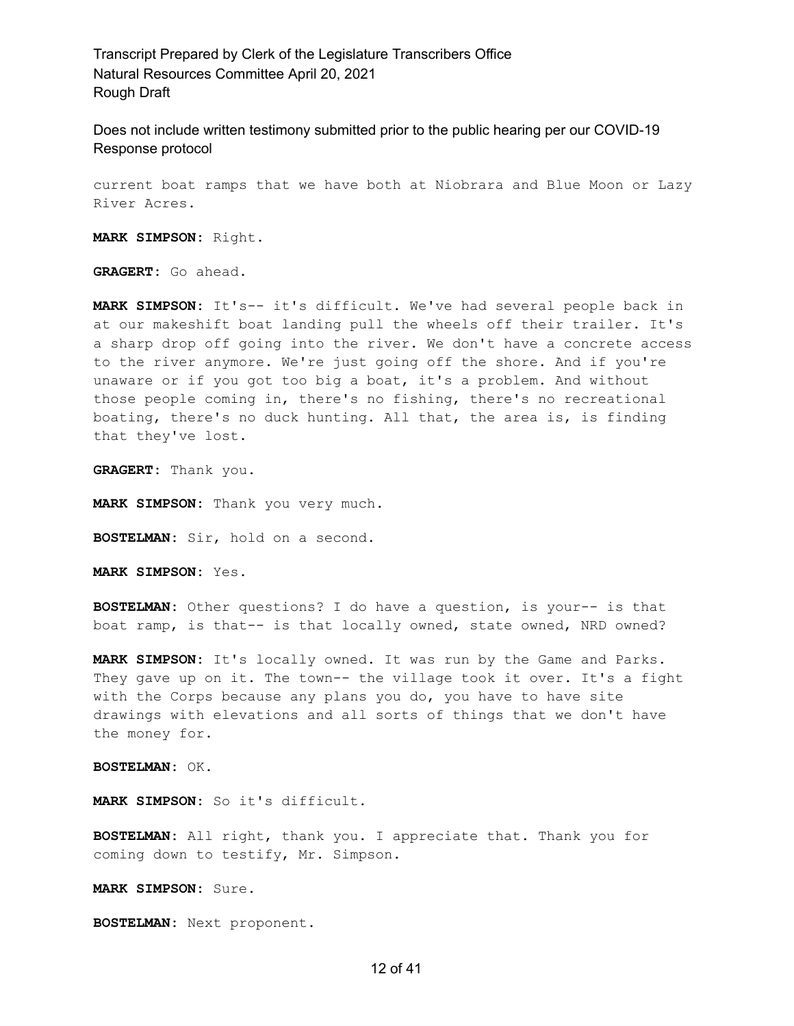Does not include written testimony submitted prior to the public hearing per our COVID-19 Response protocol

current boat ramps that we have both at Niobrara and Blue Moon or Lazy River Acres.

**MARK SIMPSON:** Right.

**GRAGERT:** Go ahead.

**MARK SIMPSON:** It's-- it's difficult. We've had several people back in at our makeshift boat landing pull the wheels off their trailer. It's a sharp drop off going into the river. We don't have a concrete access to the river anymore. We're just going off the shore. And if you're unaware or if you got too big a boat, it's a problem. And without those people coming in, there's no fishing, there's no recreational boating, there's no duck hunting. All that, the area is, is finding that they've lost.

**GRAGERT:** Thank you.

**MARK SIMPSON:** Thank you very much.

**BOSTELMAN:** Sir, hold on a second.

**MARK SIMPSON:** Yes.

**BOSTELMAN:** Other questions? I do have a question, is your-- is that boat ramp, is that-- is that locally owned, state owned, NRD owned?

**MARK SIMPSON:** It's locally owned. It was run by the Game and Parks. They gave up on it. The town-- the village took it over. It's a fight with the Corps because any plans you do, you have to have site drawings with elevations and all sorts of things that we don't have the money for.

**BOSTELMAN:** OK.

**MARK SIMPSON:** So it's difficult.

**BOSTELMAN:** All right, thank you. I appreciate that. Thank you for coming down to testify, Mr. Simpson.

**MARK SIMPSON:** Sure.

**BOSTELMAN:** Next proponent.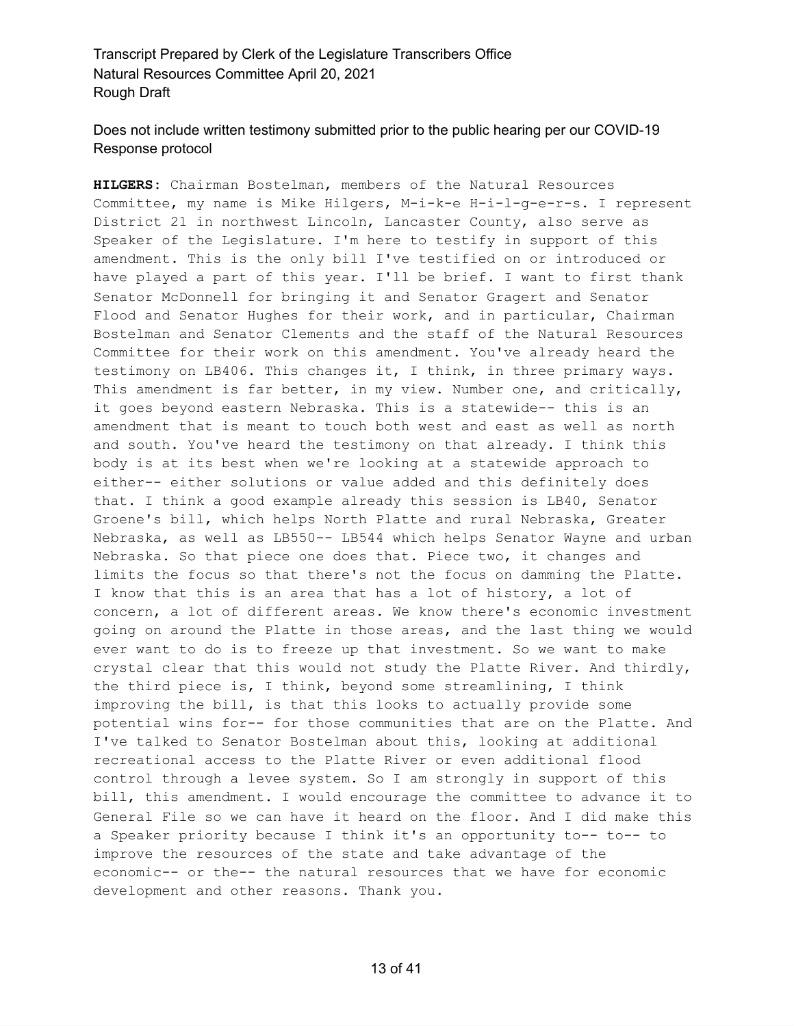# Does not include written testimony submitted prior to the public hearing per our COVID-19 Response protocol

**HILGERS:** Chairman Bostelman, members of the Natural Resources Committee, my name is Mike Hilgers, M-i-k-e H-i-l-g-e-r-s. I represent District 21 in northwest Lincoln, Lancaster County, also serve as Speaker of the Legislature. I'm here to testify in support of this amendment. This is the only bill I've testified on or introduced or have played a part of this year. I'll be brief. I want to first thank Senator McDonnell for bringing it and Senator Gragert and Senator Flood and Senator Hughes for their work, and in particular, Chairman Bostelman and Senator Clements and the staff of the Natural Resources Committee for their work on this amendment. You've already heard the testimony on LB406. This changes it, I think, in three primary ways. This amendment is far better, in my view. Number one, and critically, it goes beyond eastern Nebraska. This is a statewide-- this is an amendment that is meant to touch both west and east as well as north and south. You've heard the testimony on that already. I think this body is at its best when we're looking at a statewide approach to either-- either solutions or value added and this definitely does that. I think a good example already this session is LB40, Senator Groene's bill, which helps North Platte and rural Nebraska, Greater Nebraska, as well as LB550-- LB544 which helps Senator Wayne and urban Nebraska. So that piece one does that. Piece two, it changes and limits the focus so that there's not the focus on damming the Platte. I know that this is an area that has a lot of history, a lot of concern, a lot of different areas. We know there's economic investment going on around the Platte in those areas, and the last thing we would ever want to do is to freeze up that investment. So we want to make crystal clear that this would not study the Platte River. And thirdly, the third piece is, I think, beyond some streamlining, I think improving the bill, is that this looks to actually provide some potential wins for-- for those communities that are on the Platte. And I've talked to Senator Bostelman about this, looking at additional recreational access to the Platte River or even additional flood control through a levee system. So I am strongly in support of this bill, this amendment. I would encourage the committee to advance it to General File so we can have it heard on the floor. And I did make this a Speaker priority because I think it's an opportunity to-- to-- to improve the resources of the state and take advantage of the economic-- or the-- the natural resources that we have for economic development and other reasons. Thank you.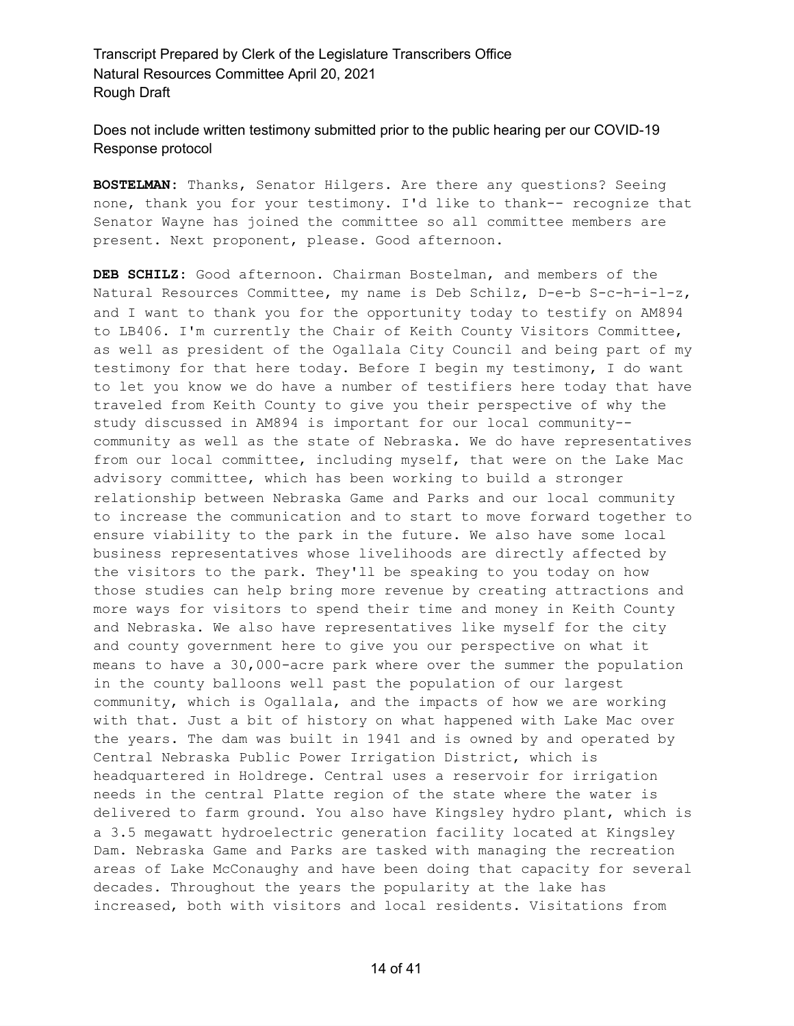Does not include written testimony submitted prior to the public hearing per our COVID-19 Response protocol

**BOSTELMAN:** Thanks, Senator Hilgers. Are there any questions? Seeing none, thank you for your testimony. I'd like to thank-- recognize that Senator Wayne has joined the committee so all committee members are present. Next proponent, please. Good afternoon.

**DEB SCHILZ:** Good afternoon. Chairman Bostelman, and members of the Natural Resources Committee, my name is Deb Schilz, D-e-b S-c-h-i-l-z, and I want to thank you for the opportunity today to testify on AM894 to LB406. I'm currently the Chair of Keith County Visitors Committee, as well as president of the Ogallala City Council and being part of my testimony for that here today. Before I begin my testimony, I do want to let you know we do have a number of testifiers here today that have traveled from Keith County to give you their perspective of why the study discussed in AM894 is important for our local community- community as well as the state of Nebraska. We do have representatives from our local committee, including myself, that were on the Lake Mac advisory committee, which has been working to build a stronger relationship between Nebraska Game and Parks and our local community to increase the communication and to start to move forward together to ensure viability to the park in the future. We also have some local business representatives whose livelihoods are directly affected by the visitors to the park. They'll be speaking to you today on how those studies can help bring more revenue by creating attractions and more ways for visitors to spend their time and money in Keith County and Nebraska. We also have representatives like myself for the city and county government here to give you our perspective on what it means to have a 30,000-acre park where over the summer the population in the county balloons well past the population of our largest community, which is Ogallala, and the impacts of how we are working with that. Just a bit of history on what happened with Lake Mac over the years. The dam was built in 1941 and is owned by and operated by Central Nebraska Public Power Irrigation District, which is headquartered in Holdrege. Central uses a reservoir for irrigation needs in the central Platte region of the state where the water is delivered to farm ground. You also have Kingsley hydro plant, which is a 3.5 megawatt hydroelectric generation facility located at Kingsley Dam. Nebraska Game and Parks are tasked with managing the recreation areas of Lake McConaughy and have been doing that capacity for several decades. Throughout the years the popularity at the lake has increased, both with visitors and local residents. Visitations from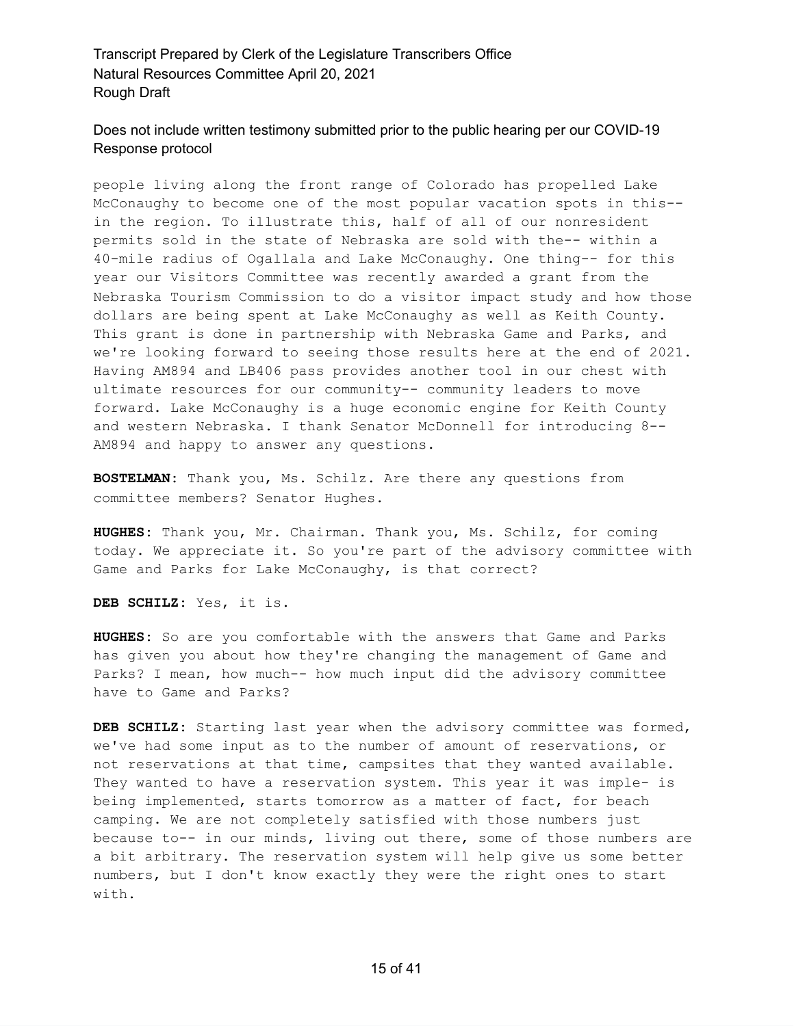# Does not include written testimony submitted prior to the public hearing per our COVID-19 Response protocol

people living along the front range of Colorado has propelled Lake McConaughy to become one of the most popular vacation spots in this- in the region. To illustrate this, half of all of our nonresident permits sold in the state of Nebraska are sold with the-- within a 40-mile radius of Ogallala and Lake McConaughy. One thing-- for this year our Visitors Committee was recently awarded a grant from the Nebraska Tourism Commission to do a visitor impact study and how those dollars are being spent at Lake McConaughy as well as Keith County. This grant is done in partnership with Nebraska Game and Parks, and we're looking forward to seeing those results here at the end of 2021. Having AM894 and LB406 pass provides another tool in our chest with ultimate resources for our community-- community leaders to move forward. Lake McConaughy is a huge economic engine for Keith County and western Nebraska. I thank Senator McDonnell for introducing 8-- AM894 and happy to answer any questions.

**BOSTELMAN:** Thank you, Ms. Schilz. Are there any questions from committee members? Senator Hughes.

**HUGHES:** Thank you, Mr. Chairman. Thank you, Ms. Schilz, for coming today. We appreciate it. So you're part of the advisory committee with Game and Parks for Lake McConaughy, is that correct?

**DEB SCHILZ:** Yes, it is.

**HUGHES:** So are you comfortable with the answers that Game and Parks has given you about how they're changing the management of Game and Parks? I mean, how much-- how much input did the advisory committee have to Game and Parks?

**DEB SCHILZ:** Starting last year when the advisory committee was formed, we've had some input as to the number of amount of reservations, or not reservations at that time, campsites that they wanted available. They wanted to have a reservation system. This year it was imple- is being implemented, starts tomorrow as a matter of fact, for beach camping. We are not completely satisfied with those numbers just because to-- in our minds, living out there, some of those numbers are a bit arbitrary. The reservation system will help give us some better numbers, but I don't know exactly they were the right ones to start with.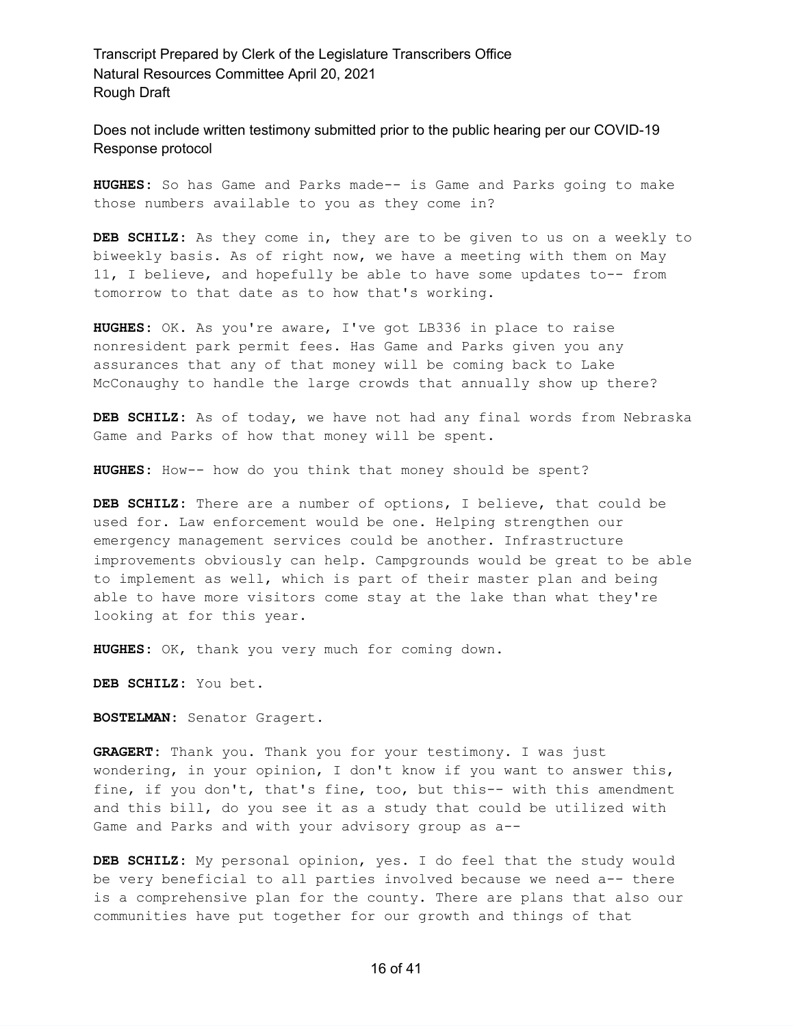Does not include written testimony submitted prior to the public hearing per our COVID-19 Response protocol

**HUGHES:** So has Game and Parks made-- is Game and Parks going to make those numbers available to you as they come in?

**DEB SCHILZ:** As they come in, they are to be given to us on a weekly to biweekly basis. As of right now, we have a meeting with them on May 11, I believe, and hopefully be able to have some updates to-- from tomorrow to that date as to how that's working.

**HUGHES:** OK. As you're aware, I've got LB336 in place to raise nonresident park permit fees. Has Game and Parks given you any assurances that any of that money will be coming back to Lake McConaughy to handle the large crowds that annually show up there?

**DEB SCHILZ:** As of today, we have not had any final words from Nebraska Game and Parks of how that money will be spent.

**HUGHES:** How-- how do you think that money should be spent?

**DEB SCHILZ:** There are a number of options, I believe, that could be used for. Law enforcement would be one. Helping strengthen our emergency management services could be another. Infrastructure improvements obviously can help. Campgrounds would be great to be able to implement as well, which is part of their master plan and being able to have more visitors come stay at the lake than what they're looking at for this year.

**HUGHES:** OK, thank you very much for coming down.

**DEB SCHILZ:** You bet.

**BOSTELMAN:** Senator Gragert.

**GRAGERT:** Thank you. Thank you for your testimony. I was just wondering, in your opinion, I don't know if you want to answer this, fine, if you don't, that's fine, too, but this-- with this amendment and this bill, do you see it as a study that could be utilized with Game and Parks and with your advisory group as a--

**DEB SCHILZ:** My personal opinion, yes. I do feel that the study would be very beneficial to all parties involved because we need a-- there is a comprehensive plan for the county. There are plans that also our communities have put together for our growth and things of that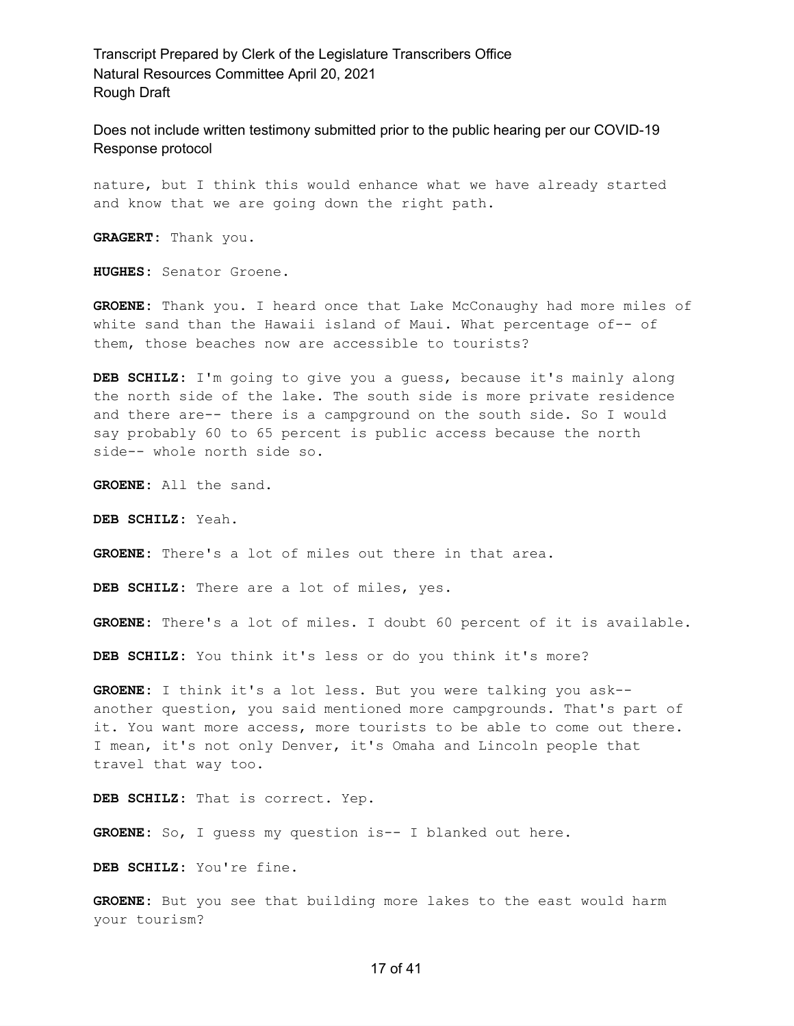Does not include written testimony submitted prior to the public hearing per our COVID-19 Response protocol

nature, but I think this would enhance what we have already started and know that we are going down the right path.

**GRAGERT:** Thank you.

**HUGHES:** Senator Groene.

**GROENE:** Thank you. I heard once that Lake McConaughy had more miles of white sand than the Hawaii island of Maui. What percentage of-- of them, those beaches now are accessible to tourists?

**DEB SCHILZ:** I'm going to give you a guess, because it's mainly along the north side of the lake. The south side is more private residence and there are-- there is a campground on the south side. So I would say probably 60 to 65 percent is public access because the north side-- whole north side so.

**GROENE:** All the sand.

**DEB SCHILZ:** Yeah.

**GROENE:** There's a lot of miles out there in that area.

**DEB SCHILZ:** There are a lot of miles, yes.

**GROENE:** There's a lot of miles. I doubt 60 percent of it is available.

**DEB SCHILZ:** You think it's less or do you think it's more?

**GROENE:** I think it's a lot less. But you were talking you ask- another question, you said mentioned more campgrounds. That's part of it. You want more access, more tourists to be able to come out there. I mean, it's not only Denver, it's Omaha and Lincoln people that travel that way too.

**DEB SCHILZ:** That is correct. Yep.

**GROENE:** So, I guess my question is-- I blanked out here.

**DEB SCHILZ:** You're fine.

**GROENE:** But you see that building more lakes to the east would harm your tourism?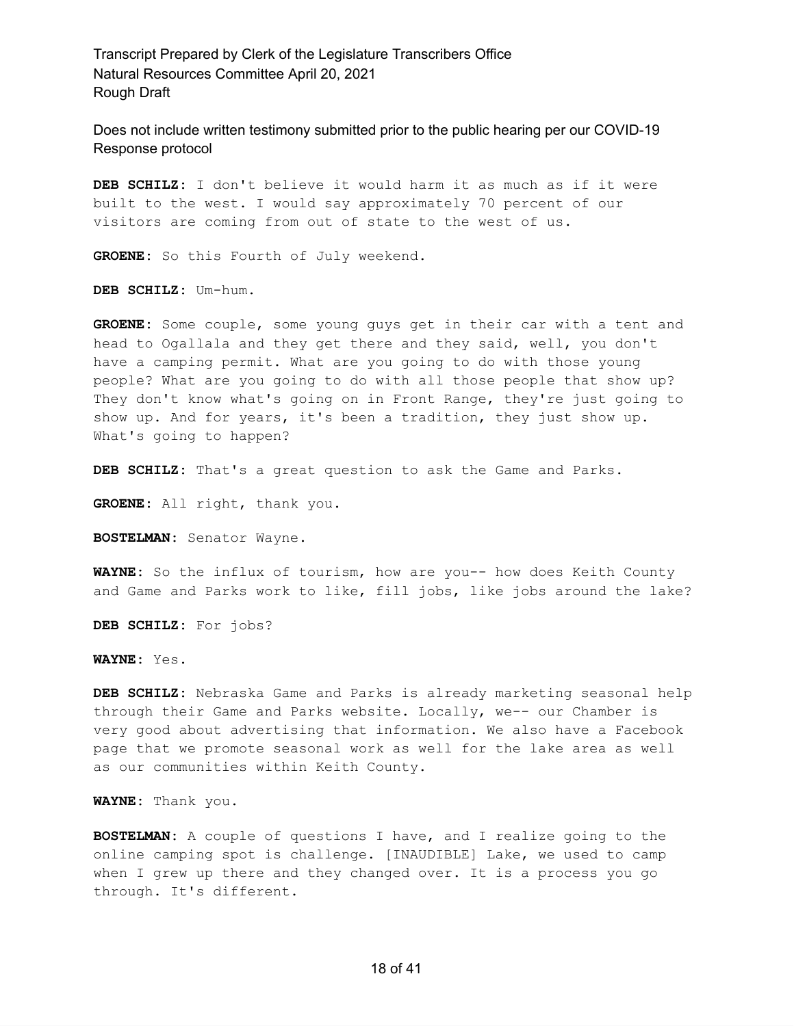Does not include written testimony submitted prior to the public hearing per our COVID-19 Response protocol

**DEB SCHILZ:** I don't believe it would harm it as much as if it were built to the west. I would say approximately 70 percent of our visitors are coming from out of state to the west of us.

**GROENE:** So this Fourth of July weekend.

**DEB SCHILZ:** Um-hum.

**GROENE:** Some couple, some young guys get in their car with a tent and head to Ogallala and they get there and they said, well, you don't have a camping permit. What are you going to do with those young people? What are you going to do with all those people that show up? They don't know what's going on in Front Range, they're just going to show up. And for years, it's been a tradition, they just show up. What's going to happen?

**DEB SCHILZ:** That's a great question to ask the Game and Parks.

**GROENE:** All right, thank you.

**BOSTELMAN:** Senator Wayne.

**WAYNE:** So the influx of tourism, how are you-- how does Keith County and Game and Parks work to like, fill jobs, like jobs around the lake?

**DEB SCHILZ:** For jobs?

**WAYNE:** Yes.

**DEB SCHILZ:** Nebraska Game and Parks is already marketing seasonal help through their Game and Parks website. Locally, we-- our Chamber is very good about advertising that information. We also have a Facebook page that we promote seasonal work as well for the lake area as well as our communities within Keith County.

**WAYNE:** Thank you.

**BOSTELMAN:** A couple of questions I have, and I realize going to the online camping spot is challenge. [INAUDIBLE] Lake, we used to camp when I grew up there and they changed over. It is a process you go through. It's different.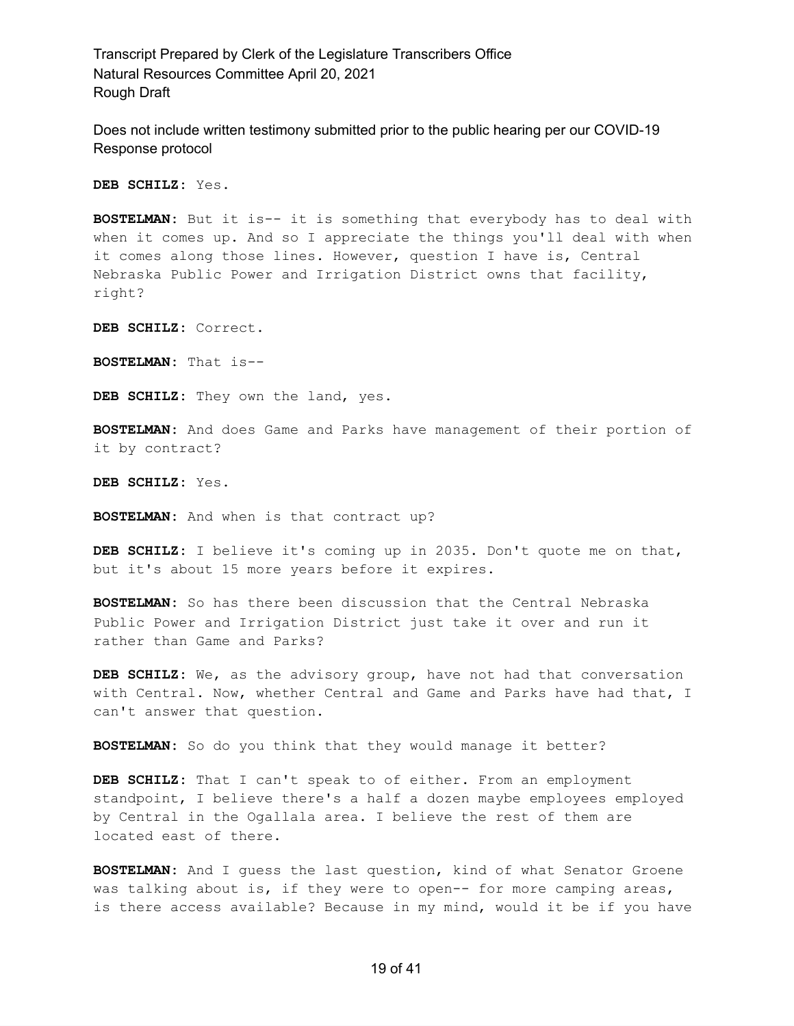Does not include written testimony submitted prior to the public hearing per our COVID-19 Response protocol

**DEB SCHILZ:** Yes.

**BOSTELMAN:** But it is-- it is something that everybody has to deal with when it comes up. And so I appreciate the things you'll deal with when it comes along those lines. However, question I have is, Central Nebraska Public Power and Irrigation District owns that facility, right?

**DEB SCHILZ:** Correct.

**BOSTELMAN:** That is--

**DEB SCHILZ:** They own the land, yes.

**BOSTELMAN:** And does Game and Parks have management of their portion of it by contract?

**DEB SCHILZ:** Yes.

**BOSTELMAN:** And when is that contract up?

**DEB SCHILZ:** I believe it's coming up in 2035. Don't quote me on that, but it's about 15 more years before it expires.

**BOSTELMAN:** So has there been discussion that the Central Nebraska Public Power and Irrigation District just take it over and run it rather than Game and Parks?

**DEB SCHILZ:** We, as the advisory group, have not had that conversation with Central. Now, whether Central and Game and Parks have had that, I can't answer that question.

**BOSTELMAN:** So do you think that they would manage it better?

**DEB SCHILZ:** That I can't speak to of either. From an employment standpoint, I believe there's a half a dozen maybe employees employed by Central in the Ogallala area. I believe the rest of them are located east of there.

**BOSTELMAN:** And I guess the last question, kind of what Senator Groene was talking about is, if they were to open-- for more camping areas, is there access available? Because in my mind, would it be if you have

#### 19 of 41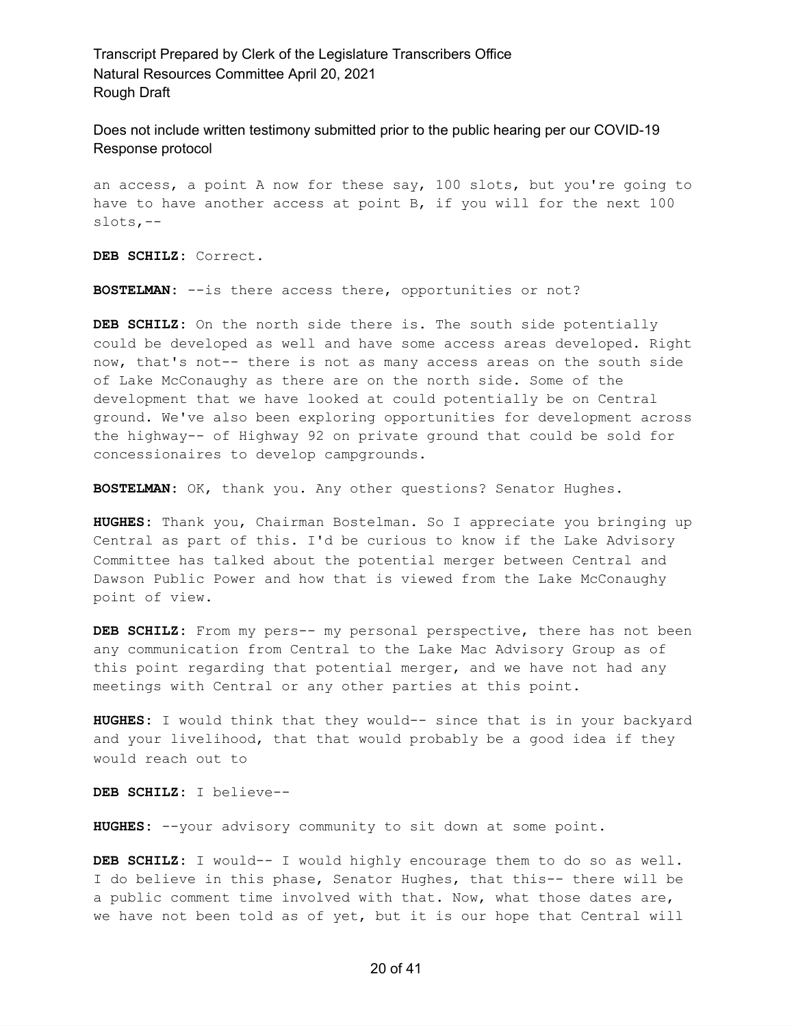Does not include written testimony submitted prior to the public hearing per our COVID-19 Response protocol

an access, a point A now for these say, 100 slots, but you're going to have to have another access at point B, if you will for the next 100 slots,--

**DEB SCHILZ:** Correct.

**BOSTELMAN:** --is there access there, opportunities or not?

**DEB SCHILZ:** On the north side there is. The south side potentially could be developed as well and have some access areas developed. Right now, that's not-- there is not as many access areas on the south side of Lake McConaughy as there are on the north side. Some of the development that we have looked at could potentially be on Central ground. We've also been exploring opportunities for development across the highway-- of Highway 92 on private ground that could be sold for concessionaires to develop campgrounds.

**BOSTELMAN:** OK, thank you. Any other questions? Senator Hughes.

**HUGHES:** Thank you, Chairman Bostelman. So I appreciate you bringing up Central as part of this. I'd be curious to know if the Lake Advisory Committee has talked about the potential merger between Central and Dawson Public Power and how that is viewed from the Lake McConaughy point of view.

**DEB SCHILZ:** From my pers-- my personal perspective, there has not been any communication from Central to the Lake Mac Advisory Group as of this point regarding that potential merger, and we have not had any meetings with Central or any other parties at this point.

**HUGHES:** I would think that they would-- since that is in your backyard and your livelihood, that that would probably be a good idea if they would reach out to

**DEB SCHILZ:** I believe--

**HUGHES:** --your advisory community to sit down at some point.

**DEB SCHILZ:** I would-- I would highly encourage them to do so as well. I do believe in this phase, Senator Hughes, that this-- there will be a public comment time involved with that. Now, what those dates are, we have not been told as of yet, but it is our hope that Central will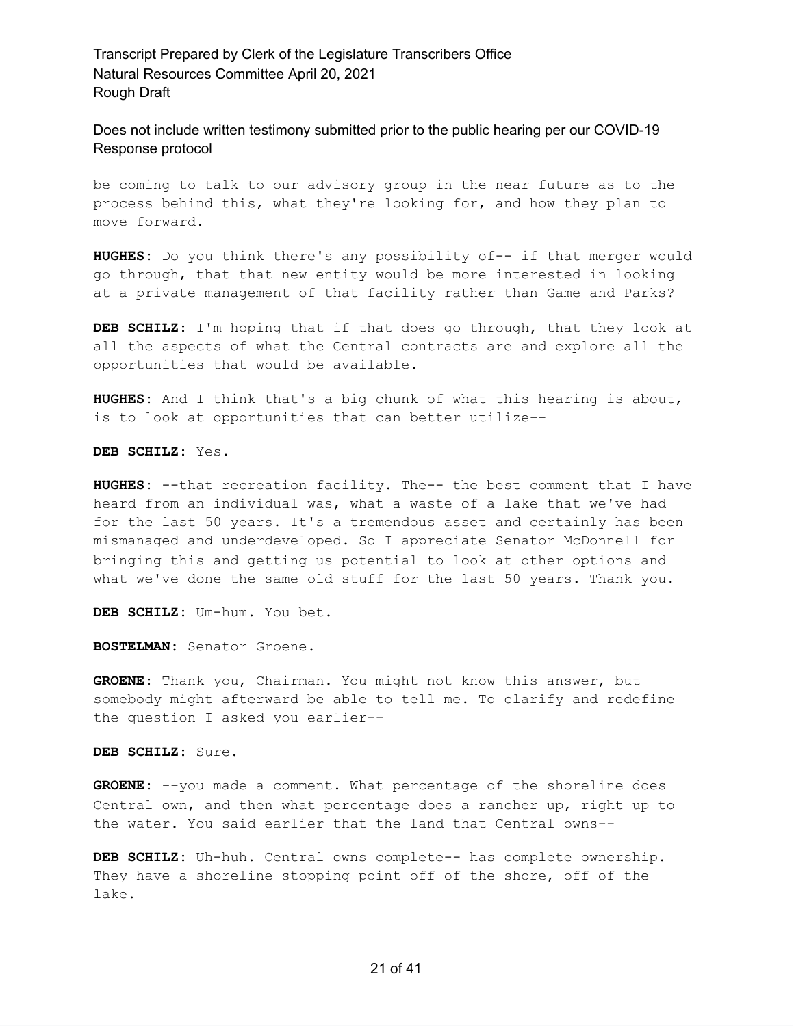Does not include written testimony submitted prior to the public hearing per our COVID-19 Response protocol

be coming to talk to our advisory group in the near future as to the process behind this, what they're looking for, and how they plan to move forward.

**HUGHES:** Do you think there's any possibility of-- if that merger would go through, that that new entity would be more interested in looking at a private management of that facility rather than Game and Parks?

**DEB SCHILZ:** I'm hoping that if that does go through, that they look at all the aspects of what the Central contracts are and explore all the opportunities that would be available.

**HUGHES:** And I think that's a big chunk of what this hearing is about, is to look at opportunities that can better utilize--

**DEB SCHILZ:** Yes.

**HUGHES:** --that recreation facility. The-- the best comment that I have heard from an individual was, what a waste of a lake that we've had for the last 50 years. It's a tremendous asset and certainly has been mismanaged and underdeveloped. So I appreciate Senator McDonnell for bringing this and getting us potential to look at other options and what we've done the same old stuff for the last 50 years. Thank you.

**DEB SCHILZ:** Um-hum. You bet.

**BOSTELMAN:** Senator Groene.

**GROENE:** Thank you, Chairman. You might not know this answer, but somebody might afterward be able to tell me. To clarify and redefine the question I asked you earlier--

**DEB SCHILZ:** Sure.

**GROENE:** --you made a comment. What percentage of the shoreline does Central own, and then what percentage does a rancher up, right up to the water. You said earlier that the land that Central owns--

**DEB SCHILZ:** Uh-huh. Central owns complete-- has complete ownership. They have a shoreline stopping point off of the shore, off of the lake.

#### 21 of 41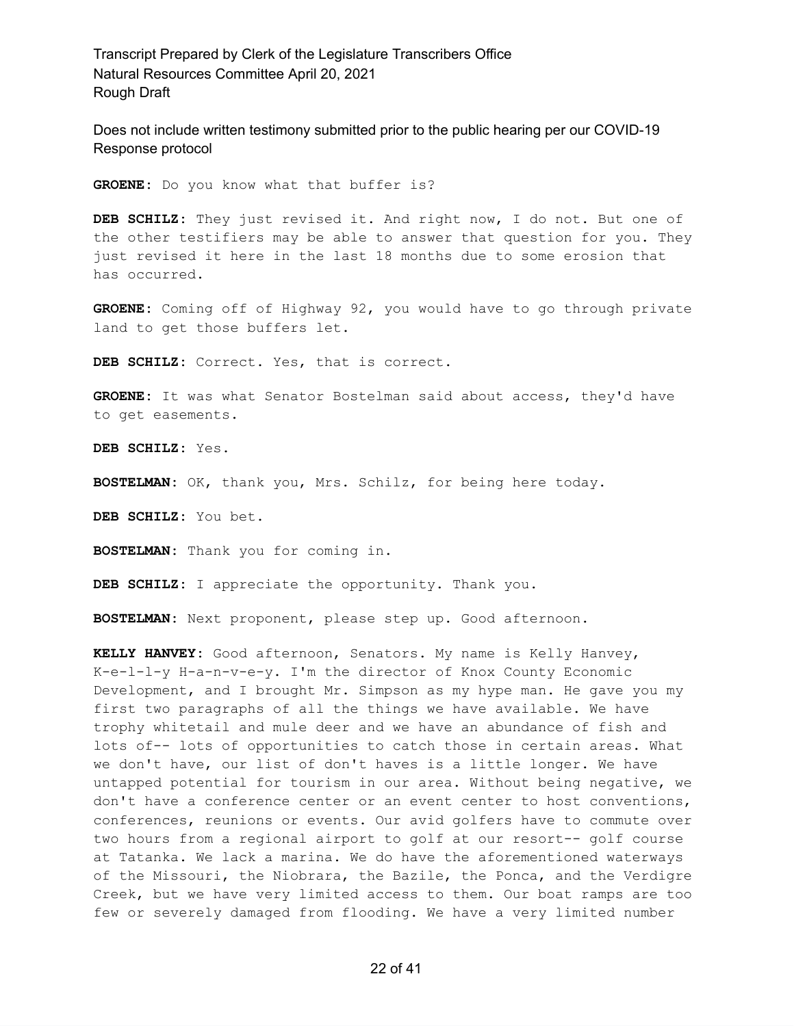Does not include written testimony submitted prior to the public hearing per our COVID-19 Response protocol

**GROENE:** Do you know what that buffer is?

**DEB SCHILZ:** They just revised it. And right now, I do not. But one of the other testifiers may be able to answer that question for you. They just revised it here in the last 18 months due to some erosion that has occurred.

**GROENE:** Coming off of Highway 92, you would have to go through private land to get those buffers let.

**DEB SCHILZ:** Correct. Yes, that is correct.

**GROENE:** It was what Senator Bostelman said about access, they'd have to get easements.

**DEB SCHILZ:** Yes.

**BOSTELMAN:** OK, thank you, Mrs. Schilz, for being here today.

**DEB SCHILZ:** You bet.

**BOSTELMAN:** Thank you for coming in.

**DEB SCHILZ:** I appreciate the opportunity. Thank you.

**BOSTELMAN:** Next proponent, please step up. Good afternoon.

**KELLY HANVEY:** Good afternoon, Senators. My name is Kelly Hanvey, K-e-l-l-y H-a-n-v-e-y. I'm the director of Knox County Economic Development, and I brought Mr. Simpson as my hype man. He gave you my first two paragraphs of all the things we have available. We have trophy whitetail and mule deer and we have an abundance of fish and lots of-- lots of opportunities to catch those in certain areas. What we don't have, our list of don't haves is a little longer. We have untapped potential for tourism in our area. Without being negative, we don't have a conference center or an event center to host conventions, conferences, reunions or events. Our avid golfers have to commute over two hours from a regional airport to golf at our resort-- golf course at Tatanka. We lack a marina. We do have the aforementioned waterways of the Missouri, the Niobrara, the Bazile, the Ponca, and the Verdigre Creek, but we have very limited access to them. Our boat ramps are too few or severely damaged from flooding. We have a very limited number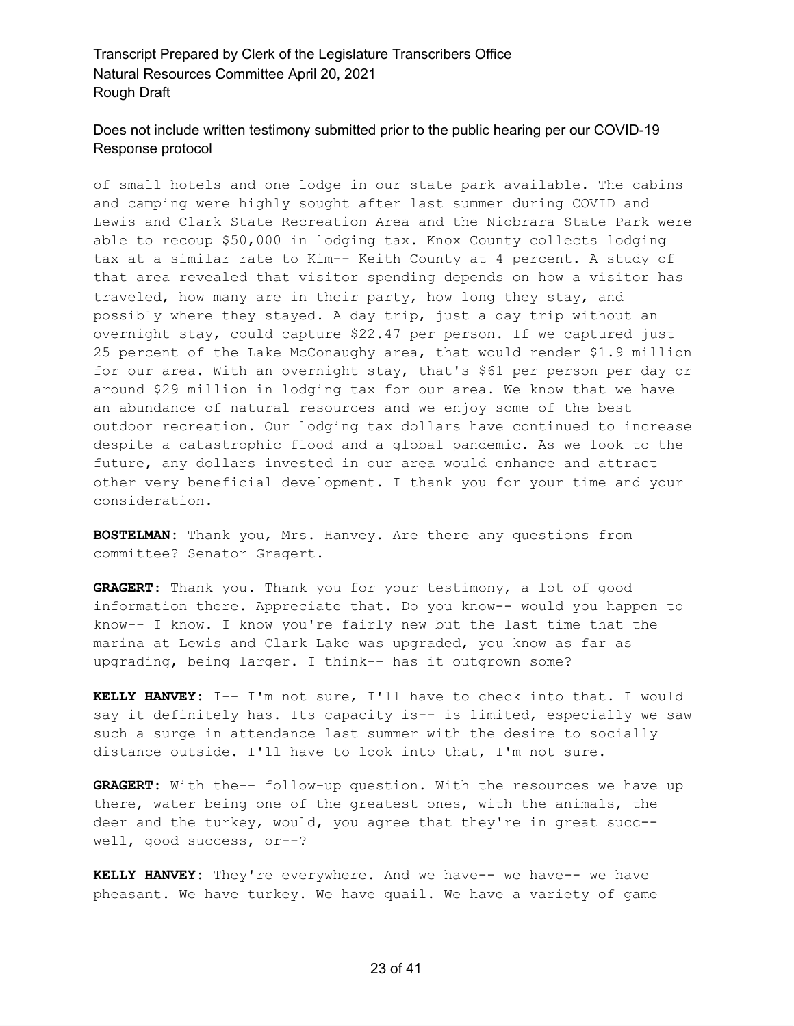#### Does not include written testimony submitted prior to the public hearing per our COVID-19 Response protocol

of small hotels and one lodge in our state park available. The cabins and camping were highly sought after last summer during COVID and Lewis and Clark State Recreation Area and the Niobrara State Park were able to recoup \$50,000 in lodging tax. Knox County collects lodging tax at a similar rate to Kim-- Keith County at 4 percent. A study of that area revealed that visitor spending depends on how a visitor has traveled, how many are in their party, how long they stay, and possibly where they stayed. A day trip, just a day trip without an overnight stay, could capture \$22.47 per person. If we captured just 25 percent of the Lake McConaughy area, that would render \$1.9 million for our area. With an overnight stay, that's \$61 per person per day or around \$29 million in lodging tax for our area. We know that we have an abundance of natural resources and we enjoy some of the best outdoor recreation. Our lodging tax dollars have continued to increase despite a catastrophic flood and a global pandemic. As we look to the future, any dollars invested in our area would enhance and attract other very beneficial development. I thank you for your time and your consideration.

**BOSTELMAN:** Thank you, Mrs. Hanvey. Are there any questions from committee? Senator Gragert.

**GRAGERT:** Thank you. Thank you for your testimony, a lot of good information there. Appreciate that. Do you know-- would you happen to know-- I know. I know you're fairly new but the last time that the marina at Lewis and Clark Lake was upgraded, you know as far as upgrading, being larger. I think-- has it outgrown some?

**KELLY HANVEY:** I-- I'm not sure, I'll have to check into that. I would say it definitely has. Its capacity is-- is limited, especially we saw such a surge in attendance last summer with the desire to socially distance outside. I'll have to look into that, I'm not sure.

**GRAGERT:** With the-- follow-up question. With the resources we have up there, water being one of the greatest ones, with the animals, the deer and the turkey, would, you agree that they're in great succ- well, good success, or--?

**KELLY HANVEY:** They're everywhere. And we have-- we have-- we have pheasant. We have turkey. We have quail. We have a variety of game

#### 23 of 41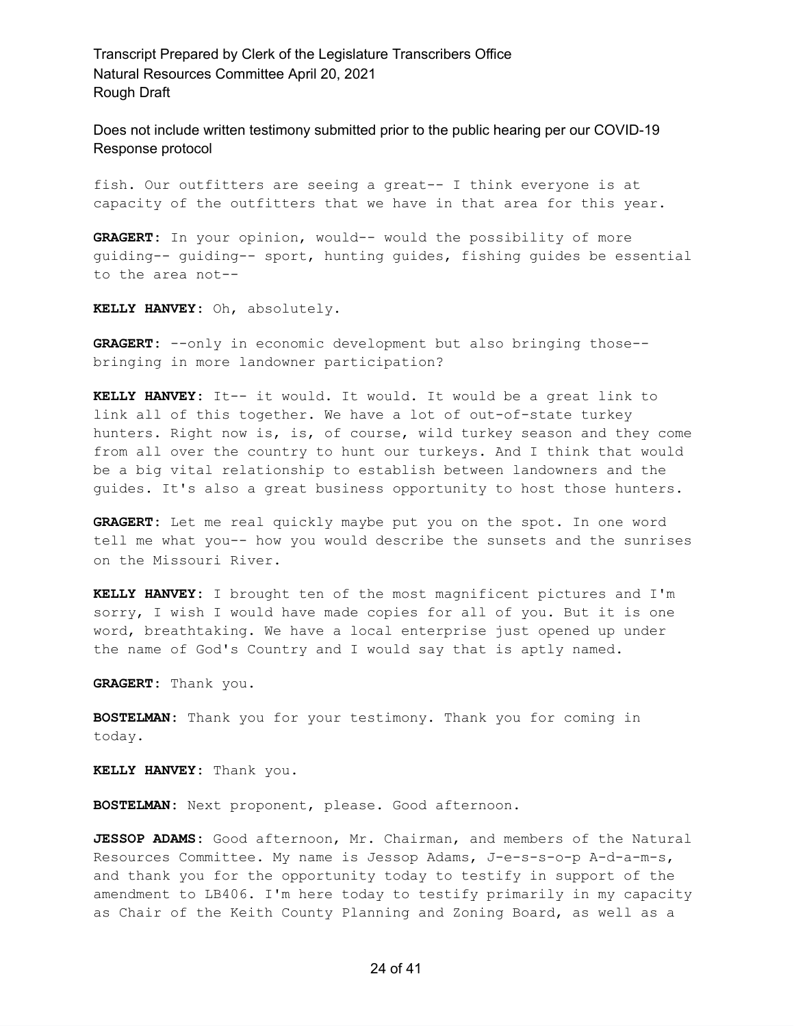Does not include written testimony submitted prior to the public hearing per our COVID-19 Response protocol

fish. Our outfitters are seeing a great-- I think everyone is at capacity of the outfitters that we have in that area for this year.

**GRAGERT:** In your opinion, would-- would the possibility of more guiding-- guiding-- sport, hunting guides, fishing guides be essential to the area not--

**KELLY HANVEY:** Oh, absolutely.

**GRAGERT:** --only in economic development but also bringing those- bringing in more landowner participation?

**KELLY HANVEY:** It-- it would. It would. It would be a great link to link all of this together. We have a lot of out-of-state turkey hunters. Right now is, is, of course, wild turkey season and they come from all over the country to hunt our turkeys. And I think that would be a big vital relationship to establish between landowners and the guides. It's also a great business opportunity to host those hunters.

**GRAGERT:** Let me real quickly maybe put you on the spot. In one word tell me what you-- how you would describe the sunsets and the sunrises on the Missouri River.

**KELLY HANVEY:** I brought ten of the most magnificent pictures and I'm sorry, I wish I would have made copies for all of you. But it is one word, breathtaking. We have a local enterprise just opened up under the name of God's Country and I would say that is aptly named.

**GRAGERT:** Thank you.

**BOSTELMAN:** Thank you for your testimony. Thank you for coming in today.

**KELLY HANVEY:** Thank you.

**BOSTELMAN:** Next proponent, please. Good afternoon.

**JESSOP ADAMS:** Good afternoon, Mr. Chairman, and members of the Natural Resources Committee. My name is Jessop Adams, J-e-s-s-o-p A-d-a-m-s, and thank you for the opportunity today to testify in support of the amendment to LB406. I'm here today to testify primarily in my capacity as Chair of the Keith County Planning and Zoning Board, as well as a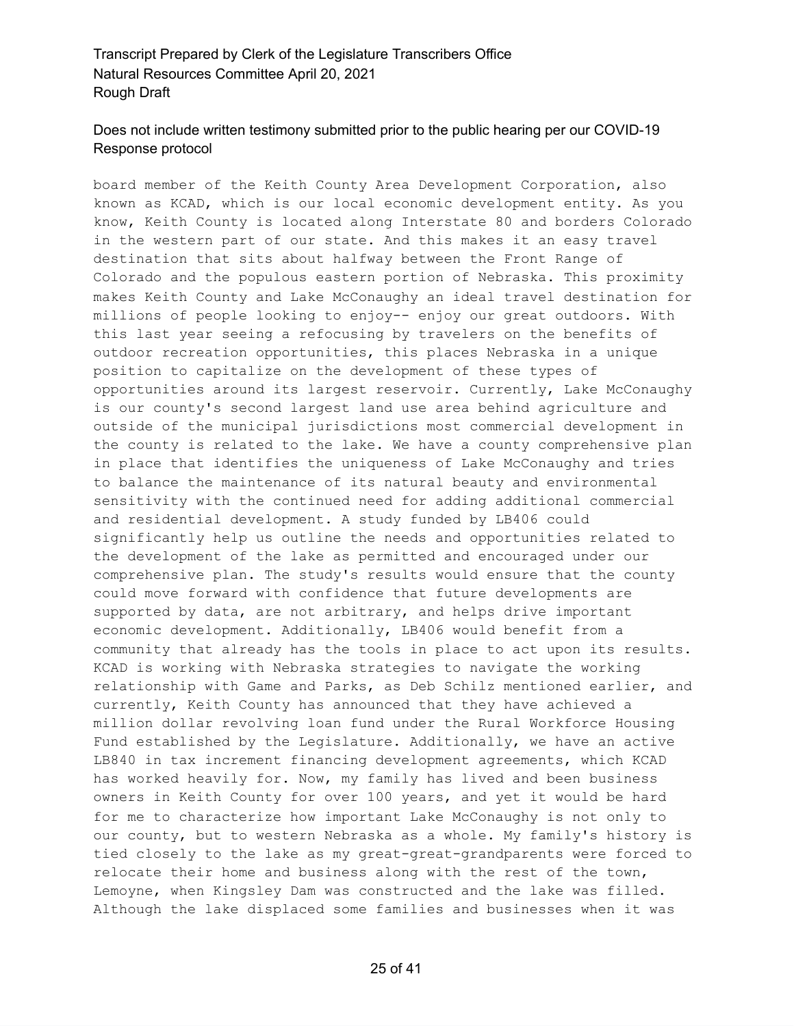# Does not include written testimony submitted prior to the public hearing per our COVID-19 Response protocol

board member of the Keith County Area Development Corporation, also known as KCAD, which is our local economic development entity. As you know, Keith County is located along Interstate 80 and borders Colorado in the western part of our state. And this makes it an easy travel destination that sits about halfway between the Front Range of Colorado and the populous eastern portion of Nebraska. This proximity makes Keith County and Lake McConaughy an ideal travel destination for millions of people looking to enjoy-- enjoy our great outdoors. With this last year seeing a refocusing by travelers on the benefits of outdoor recreation opportunities, this places Nebraska in a unique position to capitalize on the development of these types of opportunities around its largest reservoir. Currently, Lake McConaughy is our county's second largest land use area behind agriculture and outside of the municipal jurisdictions most commercial development in the county is related to the lake. We have a county comprehensive plan in place that identifies the uniqueness of Lake McConaughy and tries to balance the maintenance of its natural beauty and environmental sensitivity with the continued need for adding additional commercial and residential development. A study funded by LB406 could significantly help us outline the needs and opportunities related to the development of the lake as permitted and encouraged under our comprehensive plan. The study's results would ensure that the county could move forward with confidence that future developments are supported by data, are not arbitrary, and helps drive important economic development. Additionally, LB406 would benefit from a community that already has the tools in place to act upon its results. KCAD is working with Nebraska strategies to navigate the working relationship with Game and Parks, as Deb Schilz mentioned earlier, and currently, Keith County has announced that they have achieved a million dollar revolving loan fund under the Rural Workforce Housing Fund established by the Legislature. Additionally, we have an active LB840 in tax increment financing development agreements, which KCAD has worked heavily for. Now, my family has lived and been business owners in Keith County for over 100 years, and yet it would be hard for me to characterize how important Lake McConaughy is not only to our county, but to western Nebraska as a whole. My family's history is tied closely to the lake as my great-great-grandparents were forced to relocate their home and business along with the rest of the town, Lemoyne, when Kingsley Dam was constructed and the lake was filled. Although the lake displaced some families and businesses when it was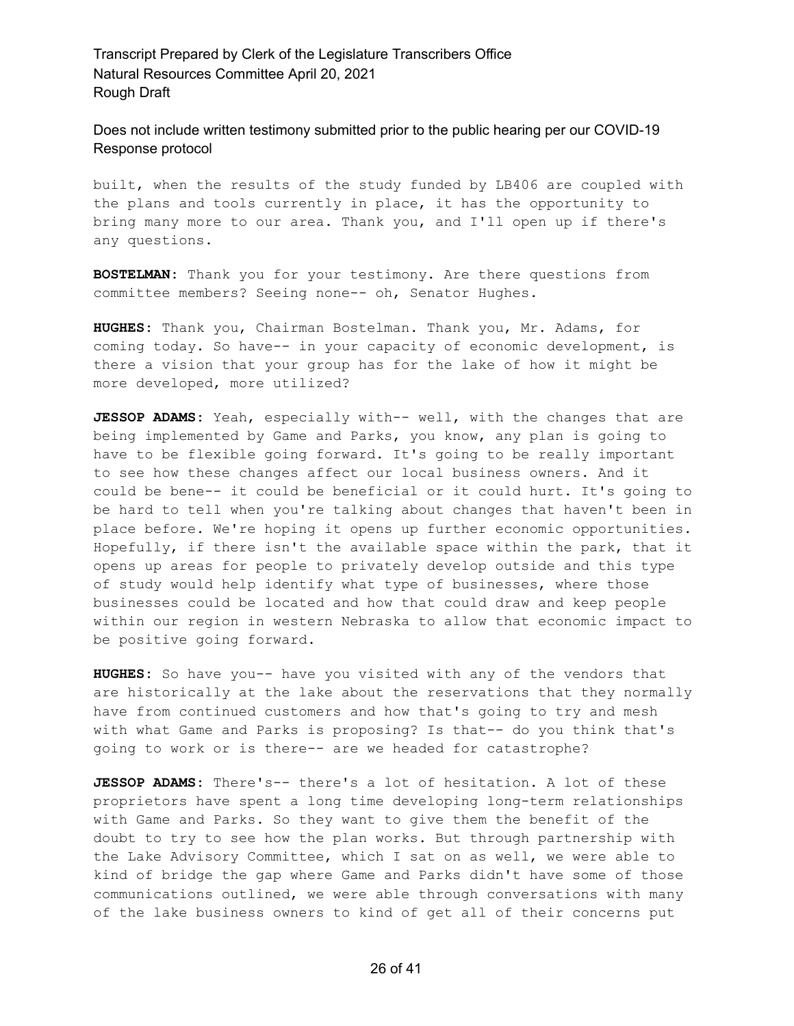Does not include written testimony submitted prior to the public hearing per our COVID-19 Response protocol

built, when the results of the study funded by LB406 are coupled with the plans and tools currently in place, it has the opportunity to bring many more to our area. Thank you, and I'll open up if there's any questions.

**BOSTELMAN:** Thank you for your testimony. Are there questions from committee members? Seeing none-- oh, Senator Hughes.

**HUGHES:** Thank you, Chairman Bostelman. Thank you, Mr. Adams, for coming today. So have-- in your capacity of economic development, is there a vision that your group has for the lake of how it might be more developed, more utilized?

**JESSOP ADAMS:** Yeah, especially with-- well, with the changes that are being implemented by Game and Parks, you know, any plan is going to have to be flexible going forward. It's going to be really important to see how these changes affect our local business owners. And it could be bene-- it could be beneficial or it could hurt. It's going to be hard to tell when you're talking about changes that haven't been in place before. We're hoping it opens up further economic opportunities. Hopefully, if there isn't the available space within the park, that it opens up areas for people to privately develop outside and this type of study would help identify what type of businesses, where those businesses could be located and how that could draw and keep people within our region in western Nebraska to allow that economic impact to be positive going forward.

**HUGHES:** So have you-- have you visited with any of the vendors that are historically at the lake about the reservations that they normally have from continued customers and how that's going to try and mesh with what Game and Parks is proposing? Is that-- do you think that's going to work or is there-- are we headed for catastrophe?

**JESSOP ADAMS:** There's-- there's a lot of hesitation. A lot of these proprietors have spent a long time developing long-term relationships with Game and Parks. So they want to give them the benefit of the doubt to try to see how the plan works. But through partnership with the Lake Advisory Committee, which I sat on as well, we were able to kind of bridge the gap where Game and Parks didn't have some of those communications outlined, we were able through conversations with many of the lake business owners to kind of get all of their concerns put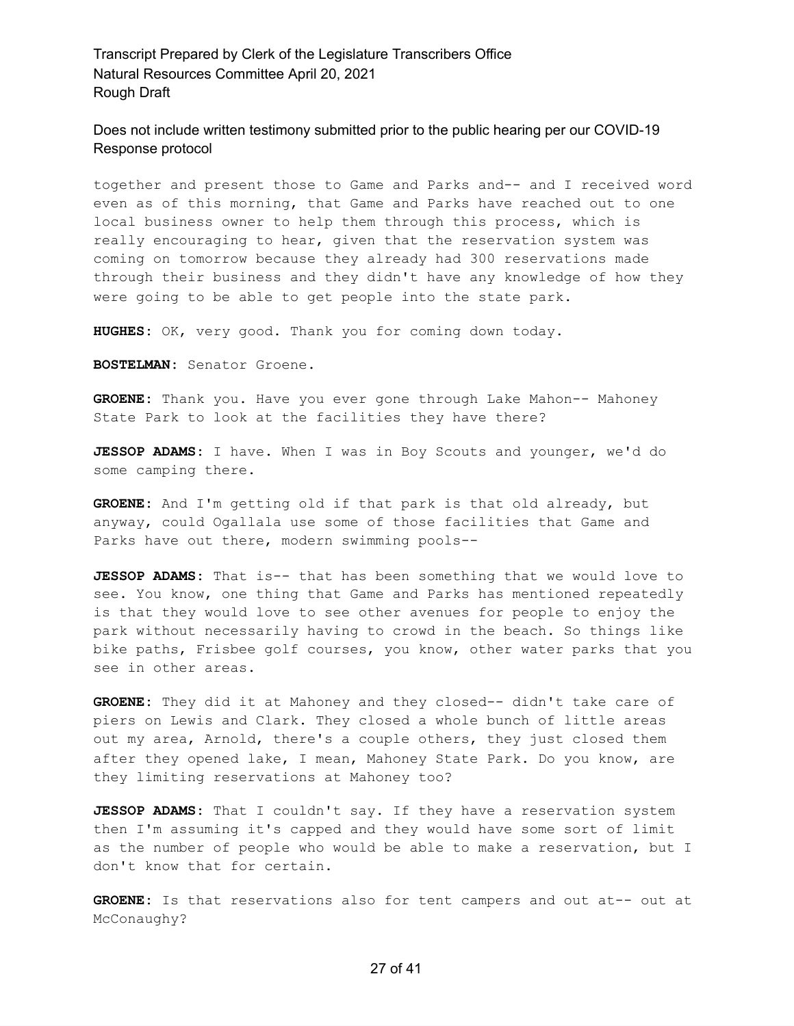Does not include written testimony submitted prior to the public hearing per our COVID-19 Response protocol

together and present those to Game and Parks and-- and I received word even as of this morning, that Game and Parks have reached out to one local business owner to help them through this process, which is really encouraging to hear, given that the reservation system was coming on tomorrow because they already had 300 reservations made through their business and they didn't have any knowledge of how they were going to be able to get people into the state park.

**HUGHES:** OK, very good. Thank you for coming down today.

**BOSTELMAN:** Senator Groene.

**GROENE:** Thank you. Have you ever gone through Lake Mahon-- Mahoney State Park to look at the facilities they have there?

**JESSOP ADAMS:** I have. When I was in Boy Scouts and younger, we'd do some camping there.

**GROENE:** And I'm getting old if that park is that old already, but anyway, could Ogallala use some of those facilities that Game and Parks have out there, modern swimming pools--

**JESSOP ADAMS:** That is-- that has been something that we would love to see. You know, one thing that Game and Parks has mentioned repeatedly is that they would love to see other avenues for people to enjoy the park without necessarily having to crowd in the beach. So things like bike paths, Frisbee golf courses, you know, other water parks that you see in other areas.

**GROENE:** They did it at Mahoney and they closed-- didn't take care of piers on Lewis and Clark. They closed a whole bunch of little areas out my area, Arnold, there's a couple others, they just closed them after they opened lake, I mean, Mahoney State Park. Do you know, are they limiting reservations at Mahoney too?

**JESSOP ADAMS:** That I couldn't say. If they have a reservation system then I'm assuming it's capped and they would have some sort of limit as the number of people who would be able to make a reservation, but I don't know that for certain.

**GROENE:** Is that reservations also for tent campers and out at-- out at McConaughy?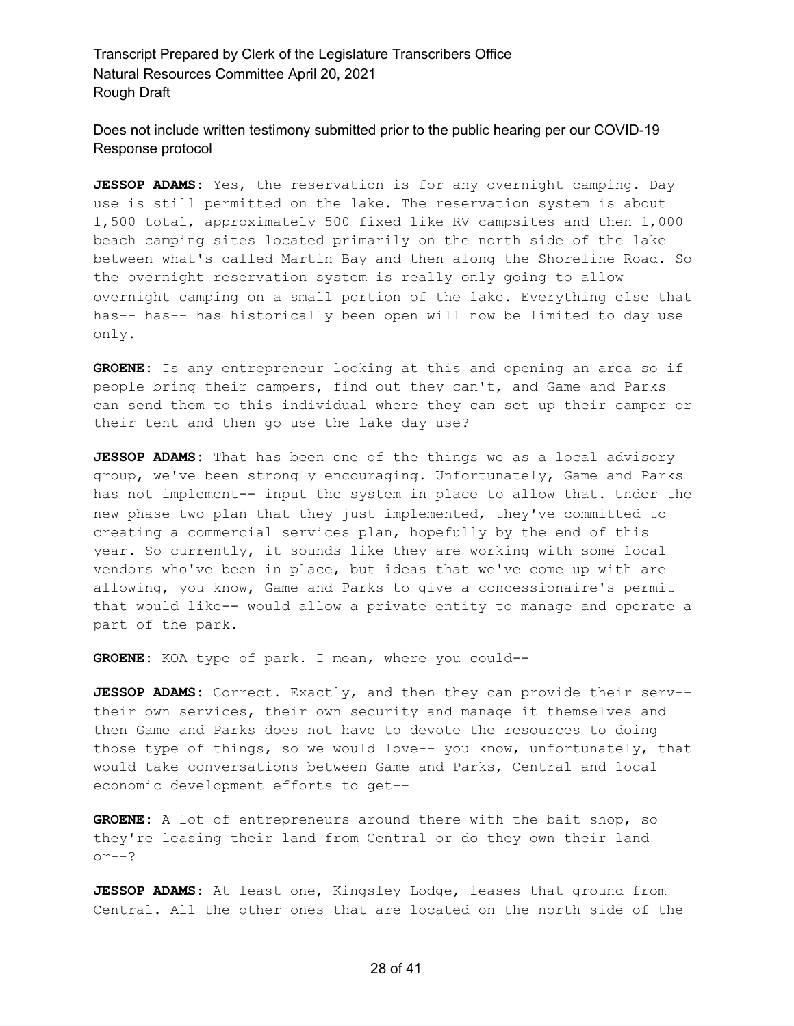Does not include written testimony submitted prior to the public hearing per our COVID-19 Response protocol

**JESSOP ADAMS:** Yes, the reservation is for any overnight camping. Day use is still permitted on the lake. The reservation system is about 1,500 total, approximately 500 fixed like RV campsites and then 1,000 beach camping sites located primarily on the north side of the lake between what's called Martin Bay and then along the Shoreline Road. So the overnight reservation system is really only going to allow overnight camping on a small portion of the lake. Everything else that has-- has-- has historically been open will now be limited to day use only.

**GROENE:** Is any entrepreneur looking at this and opening an area so if people bring their campers, find out they can't, and Game and Parks can send them to this individual where they can set up their camper or their tent and then go use the lake day use?

**JESSOP ADAMS:** That has been one of the things we as a local advisory group, we've been strongly encouraging. Unfortunately, Game and Parks has not implement-- input the system in place to allow that. Under the new phase two plan that they just implemented, they've committed to creating a commercial services plan, hopefully by the end of this year. So currently, it sounds like they are working with some local vendors who've been in place, but ideas that we've come up with are allowing, you know, Game and Parks to give a concessionaire's permit that would like-- would allow a private entity to manage and operate a part of the park.

**GROENE:** KOA type of park. I mean, where you could--

**JESSOP ADAMS:** Correct. Exactly, and then they can provide their serv- their own services, their own security and manage it themselves and then Game and Parks does not have to devote the resources to doing those type of things, so we would love-- you know, unfortunately, that would take conversations between Game and Parks, Central and local economic development efforts to get--

**GROENE:** A lot of entrepreneurs around there with the bait shop, so they're leasing their land from Central or do they own their land or--?

**JESSOP ADAMS:** At least one, Kingsley Lodge, leases that ground from Central. All the other ones that are located on the north side of the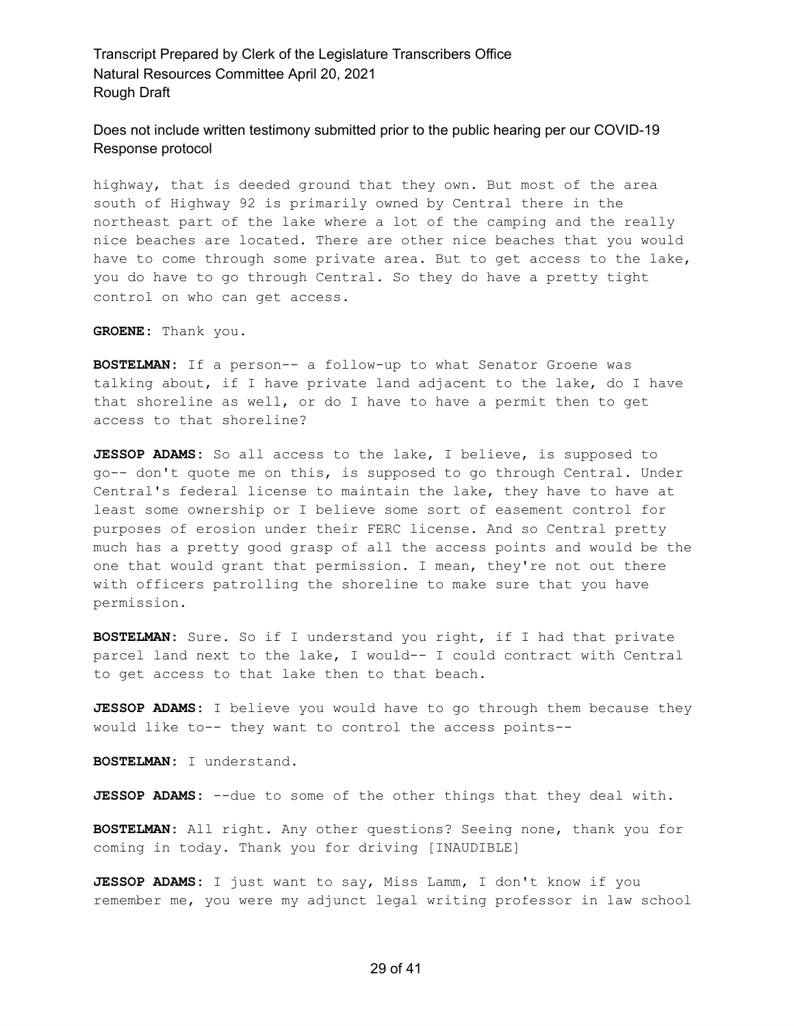Does not include written testimony submitted prior to the public hearing per our COVID-19 Response protocol

highway, that is deeded ground that they own. But most of the area south of Highway 92 is primarily owned by Central there in the northeast part of the lake where a lot of the camping and the really nice beaches are located. There are other nice beaches that you would have to come through some private area. But to get access to the lake, you do have to go through Central. So they do have a pretty tight control on who can get access.

**GROENE:** Thank you.

**BOSTELMAN:** If a person-- a follow-up to what Senator Groene was talking about, if I have private land adjacent to the lake, do I have that shoreline as well, or do I have to have a permit then to get access to that shoreline?

**JESSOP ADAMS:** So all access to the lake, I believe, is supposed to go-- don't quote me on this, is supposed to go through Central. Under Central's federal license to maintain the lake, they have to have at least some ownership or I believe some sort of easement control for purposes of erosion under their FERC license. And so Central pretty much has a pretty good grasp of all the access points and would be the one that would grant that permission. I mean, they're not out there with officers patrolling the shoreline to make sure that you have permission.

**BOSTELMAN:** Sure. So if I understand you right, if I had that private parcel land next to the lake, I would-- I could contract with Central to get access to that lake then to that beach.

**JESSOP ADAMS:** I believe you would have to go through them because they would like to-- they want to control the access points--

**BOSTELMAN:** I understand.

**JESSOP ADAMS:** --due to some of the other things that they deal with.

**BOSTELMAN:** All right. Any other questions? Seeing none, thank you for coming in today. Thank you for driving [INAUDIBLE]

**JESSOP ADAMS:** I just want to say, Miss Lamm, I don't know if you remember me, you were my adjunct legal writing professor in law school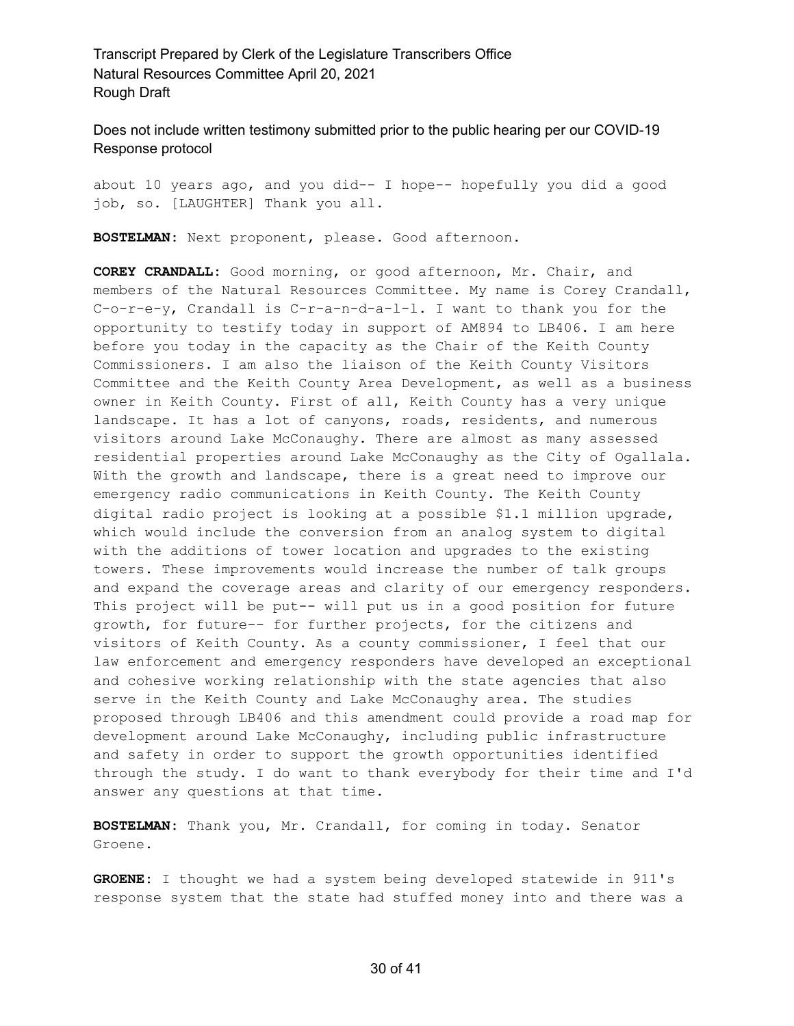Does not include written testimony submitted prior to the public hearing per our COVID-19 Response protocol

about 10 years ago, and you did-- I hope-- hopefully you did a good job, so. [LAUGHTER] Thank you all.

**BOSTELMAN:** Next proponent, please. Good afternoon.

**COREY CRANDALL:** Good morning, or good afternoon, Mr. Chair, and members of the Natural Resources Committee. My name is Corey Crandall, C-o-r-e-y, Crandall is C-r-a-n-d-a-l-l. I want to thank you for the opportunity to testify today in support of AM894 to LB406. I am here before you today in the capacity as the Chair of the Keith County Commissioners. I am also the liaison of the Keith County Visitors Committee and the Keith County Area Development, as well as a business owner in Keith County. First of all, Keith County has a very unique landscape. It has a lot of canyons, roads, residents, and numerous visitors around Lake McConaughy. There are almost as many assessed residential properties around Lake McConaughy as the City of Ogallala. With the growth and landscape, there is a great need to improve our emergency radio communications in Keith County. The Keith County digital radio project is looking at a possible \$1.1 million upgrade, which would include the conversion from an analog system to digital with the additions of tower location and upgrades to the existing towers. These improvements would increase the number of talk groups and expand the coverage areas and clarity of our emergency responders. This project will be put-- will put us in a good position for future growth, for future-- for further projects, for the citizens and visitors of Keith County. As a county commissioner, I feel that our law enforcement and emergency responders have developed an exceptional and cohesive working relationship with the state agencies that also serve in the Keith County and Lake McConaughy area. The studies proposed through LB406 and this amendment could provide a road map for development around Lake McConaughy, including public infrastructure and safety in order to support the growth opportunities identified through the study. I do want to thank everybody for their time and I'd answer any questions at that time.

**BOSTELMAN:** Thank you, Mr. Crandall, for coming in today. Senator Groene.

**GROENE:** I thought we had a system being developed statewide in 911's response system that the state had stuffed money into and there was a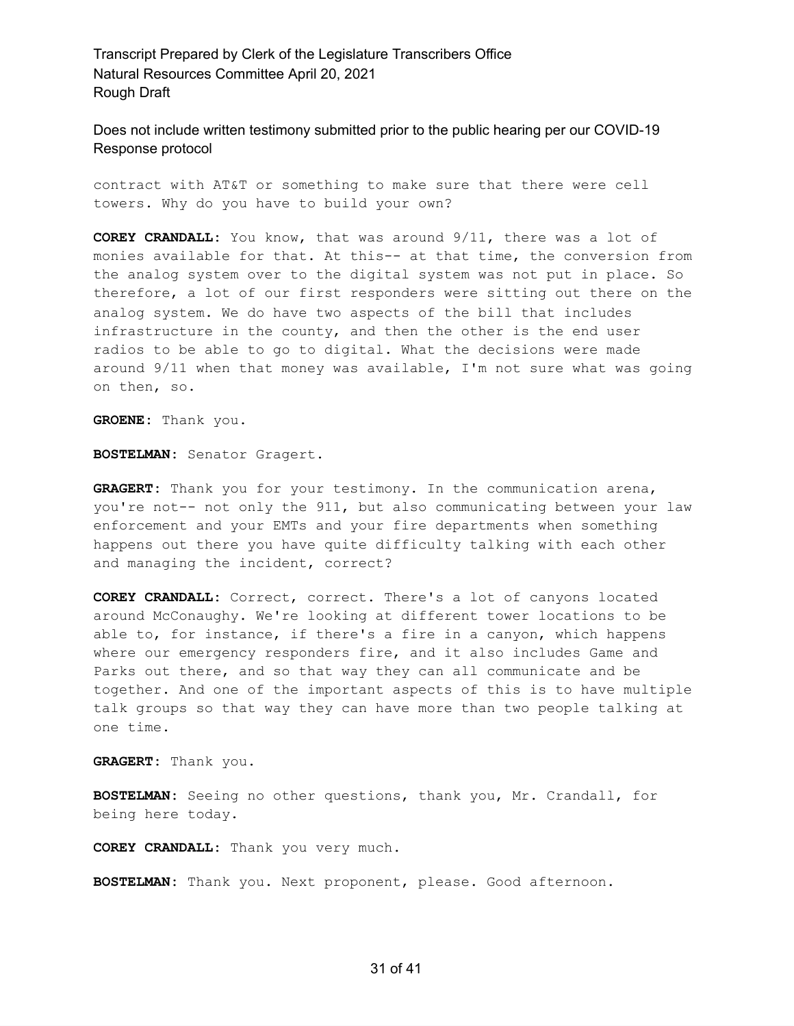Does not include written testimony submitted prior to the public hearing per our COVID-19 Response protocol

contract with AT&T or something to make sure that there were cell towers. Why do you have to build your own?

**COREY CRANDALL:** You know, that was around 9/11, there was a lot of monies available for that. At this-- at that time, the conversion from the analog system over to the digital system was not put in place. So therefore, a lot of our first responders were sitting out there on the analog system. We do have two aspects of the bill that includes infrastructure in the county, and then the other is the end user radios to be able to go to digital. What the decisions were made around 9/11 when that money was available, I'm not sure what was going on then, so.

**GROENE:** Thank you.

**BOSTELMAN:** Senator Gragert.

**GRAGERT:** Thank you for your testimony. In the communication arena, you're not-- not only the 911, but also communicating between your law enforcement and your EMTs and your fire departments when something happens out there you have quite difficulty talking with each other and managing the incident, correct?

**COREY CRANDALL:** Correct, correct. There's a lot of canyons located around McConaughy. We're looking at different tower locations to be able to, for instance, if there's a fire in a canyon, which happens where our emergency responders fire, and it also includes Game and Parks out there, and so that way they can all communicate and be together. And one of the important aspects of this is to have multiple talk groups so that way they can have more than two people talking at one time.

**GRAGERT:** Thank you.

**BOSTELMAN:** Seeing no other questions, thank you, Mr. Crandall, for being here today.

**COREY CRANDALL:** Thank you very much.

**BOSTELMAN:** Thank you. Next proponent, please. Good afternoon.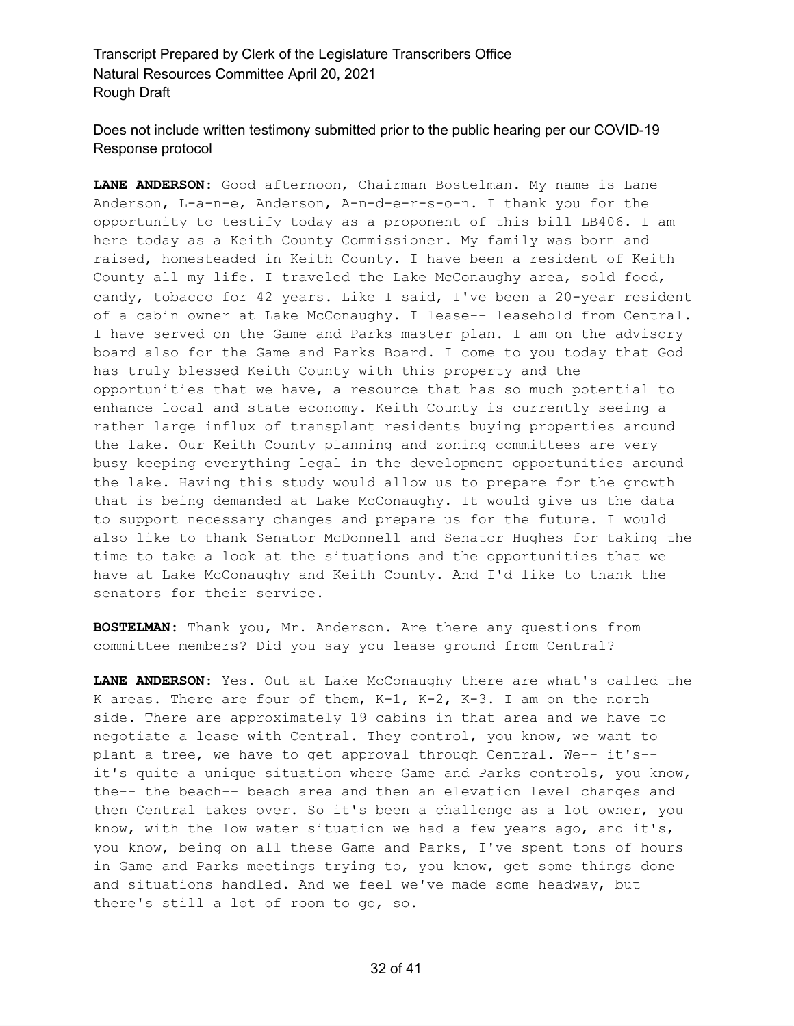Does not include written testimony submitted prior to the public hearing per our COVID-19 Response protocol

**LANE ANDERSON:** Good afternoon, Chairman Bostelman. My name is Lane Anderson, L-a-n-e, Anderson, A-n-d-e-r-s-o-n. I thank you for the opportunity to testify today as a proponent of this bill LB406. I am here today as a Keith County Commissioner. My family was born and raised, homesteaded in Keith County. I have been a resident of Keith County all my life. I traveled the Lake McConaughy area, sold food, candy, tobacco for 42 years. Like I said, I've been a 20-year resident of a cabin owner at Lake McConaughy. I lease-- leasehold from Central. I have served on the Game and Parks master plan. I am on the advisory board also for the Game and Parks Board. I come to you today that God has truly blessed Keith County with this property and the opportunities that we have, a resource that has so much potential to enhance local and state economy. Keith County is currently seeing a rather large influx of transplant residents buying properties around the lake. Our Keith County planning and zoning committees are very busy keeping everything legal in the development opportunities around the lake. Having this study would allow us to prepare for the growth that is being demanded at Lake McConaughy. It would give us the data to support necessary changes and prepare us for the future. I would also like to thank Senator McDonnell and Senator Hughes for taking the time to take a look at the situations and the opportunities that we have at Lake McConaughy and Keith County. And I'd like to thank the senators for their service.

**BOSTELMAN:** Thank you, Mr. Anderson. Are there any questions from committee members? Did you say you lease ground from Central?

**LANE ANDERSON:** Yes. Out at Lake McConaughy there are what's called the K areas. There are four of them, K-1, K-2, K-3. I am on the north side. There are approximately 19 cabins in that area and we have to negotiate a lease with Central. They control, you know, we want to plant a tree, we have to get approval through Central. We-- it's- it's quite a unique situation where Game and Parks controls, you know, the-- the beach-- beach area and then an elevation level changes and then Central takes over. So it's been a challenge as a lot owner, you know, with the low water situation we had a few years ago, and it's, you know, being on all these Game and Parks, I've spent tons of hours in Game and Parks meetings trying to, you know, get some things done and situations handled. And we feel we've made some headway, but there's still a lot of room to go, so.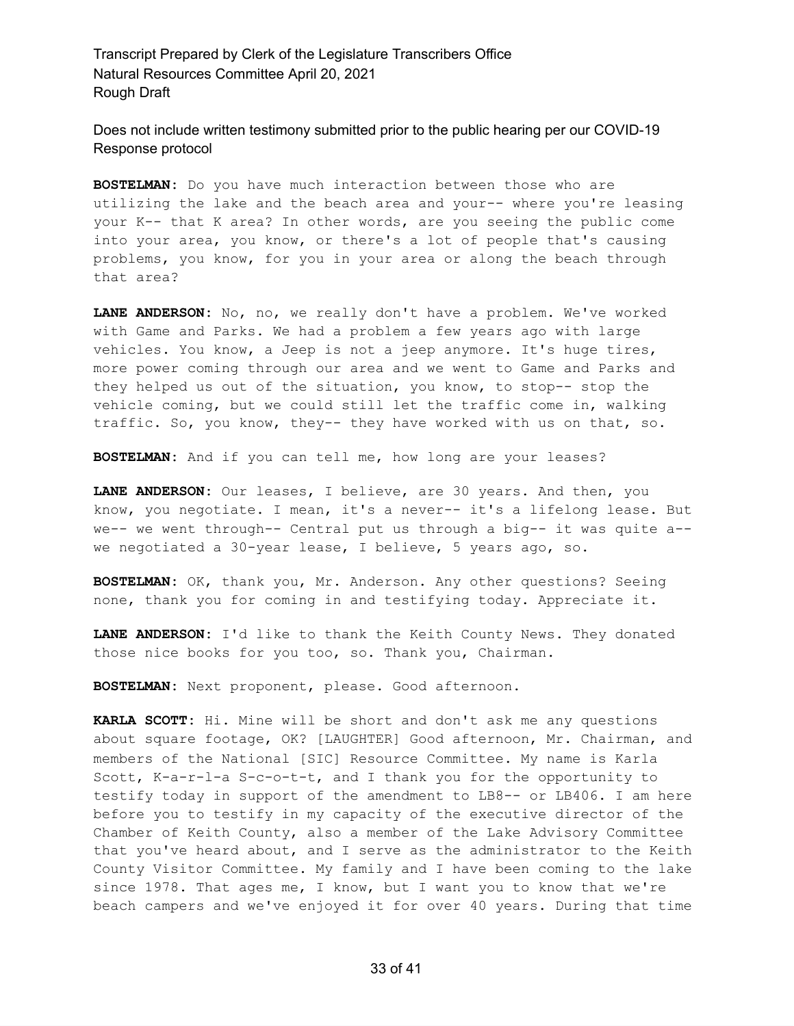Does not include written testimony submitted prior to the public hearing per our COVID-19 Response protocol

**BOSTELMAN:** Do you have much interaction between those who are utilizing the lake and the beach area and your-- where you're leasing your K-- that K area? In other words, are you seeing the public come into your area, you know, or there's a lot of people that's causing problems, you know, for you in your area or along the beach through that area?

**LANE ANDERSON:** No, no, we really don't have a problem. We've worked with Game and Parks. We had a problem a few years ago with large vehicles. You know, a Jeep is not a jeep anymore. It's huge tires, more power coming through our area and we went to Game and Parks and they helped us out of the situation, you know, to stop-- stop the vehicle coming, but we could still let the traffic come in, walking traffic. So, you know, they-- they have worked with us on that, so.

**BOSTELMAN:** And if you can tell me, how long are your leases?

**LANE ANDERSON:** Our leases, I believe, are 30 years. And then, you know, you negotiate. I mean, it's a never-- it's a lifelong lease. But we-- we went through-- Central put us through a big-- it was quite a- we negotiated a 30-year lease, I believe, 5 years ago, so.

**BOSTELMAN:** OK, thank you, Mr. Anderson. Any other questions? Seeing none, thank you for coming in and testifying today. Appreciate it.

**LANE ANDERSON:** I'd like to thank the Keith County News. They donated those nice books for you too, so. Thank you, Chairman.

**BOSTELMAN:** Next proponent, please. Good afternoon.

**KARLA SCOTT:** Hi. Mine will be short and don't ask me any questions about square footage, OK? [LAUGHTER] Good afternoon, Mr. Chairman, and members of the National [SIC] Resource Committee. My name is Karla Scott, K-a-r-l-a S-c-o-t-t, and I thank you for the opportunity to testify today in support of the amendment to LB8-- or LB406. I am here before you to testify in my capacity of the executive director of the Chamber of Keith County, also a member of the Lake Advisory Committee that you've heard about, and I serve as the administrator to the Keith County Visitor Committee. My family and I have been coming to the lake since 1978. That ages me, I know, but I want you to know that we're beach campers and we've enjoyed it for over 40 years. During that time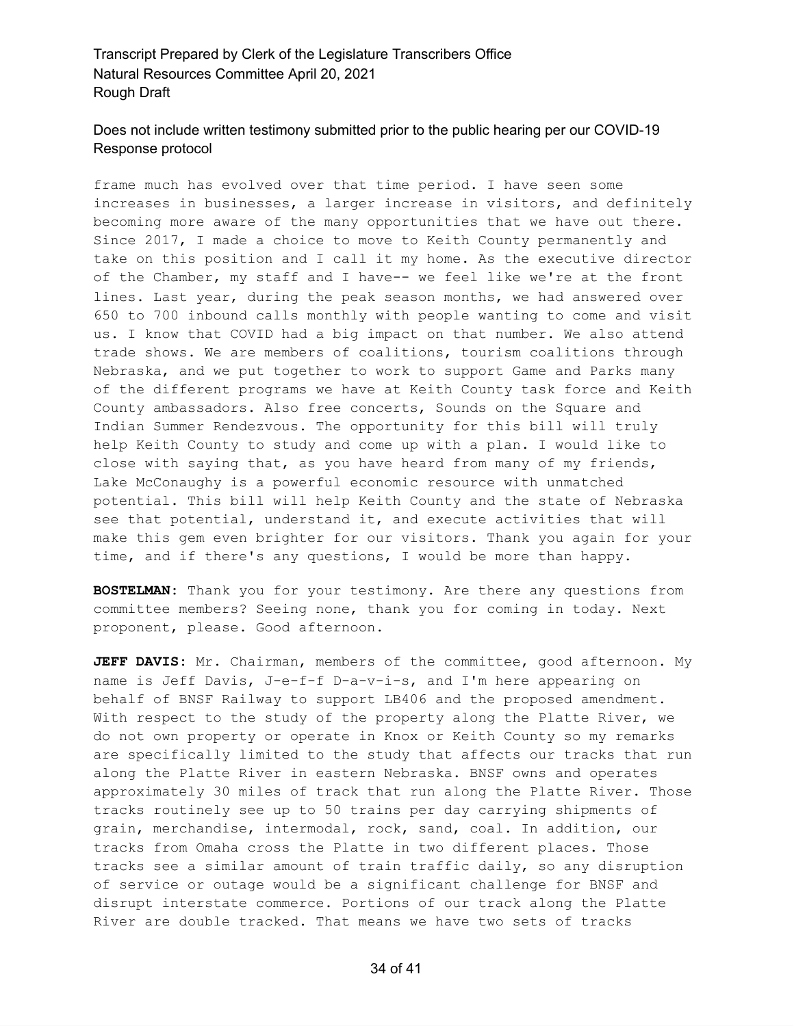# Does not include written testimony submitted prior to the public hearing per our COVID-19 Response protocol

frame much has evolved over that time period. I have seen some increases in businesses, a larger increase in visitors, and definitely becoming more aware of the many opportunities that we have out there. Since 2017, I made a choice to move to Keith County permanently and take on this position and I call it my home. As the executive director of the Chamber, my staff and I have-- we feel like we're at the front lines. Last year, during the peak season months, we had answered over 650 to 700 inbound calls monthly with people wanting to come and visit us. I know that COVID had a big impact on that number. We also attend trade shows. We are members of coalitions, tourism coalitions through Nebraska, and we put together to work to support Game and Parks many of the different programs we have at Keith County task force and Keith County ambassadors. Also free concerts, Sounds on the Square and Indian Summer Rendezvous. The opportunity for this bill will truly help Keith County to study and come up with a plan. I would like to close with saying that, as you have heard from many of my friends, Lake McConaughy is a powerful economic resource with unmatched potential. This bill will help Keith County and the state of Nebraska see that potential, understand it, and execute activities that will make this gem even brighter for our visitors. Thank you again for your time, and if there's any questions, I would be more than happy.

**BOSTELMAN:** Thank you for your testimony. Are there any questions from committee members? Seeing none, thank you for coming in today. Next proponent, please. Good afternoon.

**JEFF DAVIS:** Mr. Chairman, members of the committee, good afternoon. My name is Jeff Davis, J-e-f-f D-a-v-i-s, and I'm here appearing on behalf of BNSF Railway to support LB406 and the proposed amendment. With respect to the study of the property along the Platte River, we do not own property or operate in Knox or Keith County so my remarks are specifically limited to the study that affects our tracks that run along the Platte River in eastern Nebraska. BNSF owns and operates approximately 30 miles of track that run along the Platte River. Those tracks routinely see up to 50 trains per day carrying shipments of grain, merchandise, intermodal, rock, sand, coal. In addition, our tracks from Omaha cross the Platte in two different places. Those tracks see a similar amount of train traffic daily, so any disruption of service or outage would be a significant challenge for BNSF and disrupt interstate commerce. Portions of our track along the Platte River are double tracked. That means we have two sets of tracks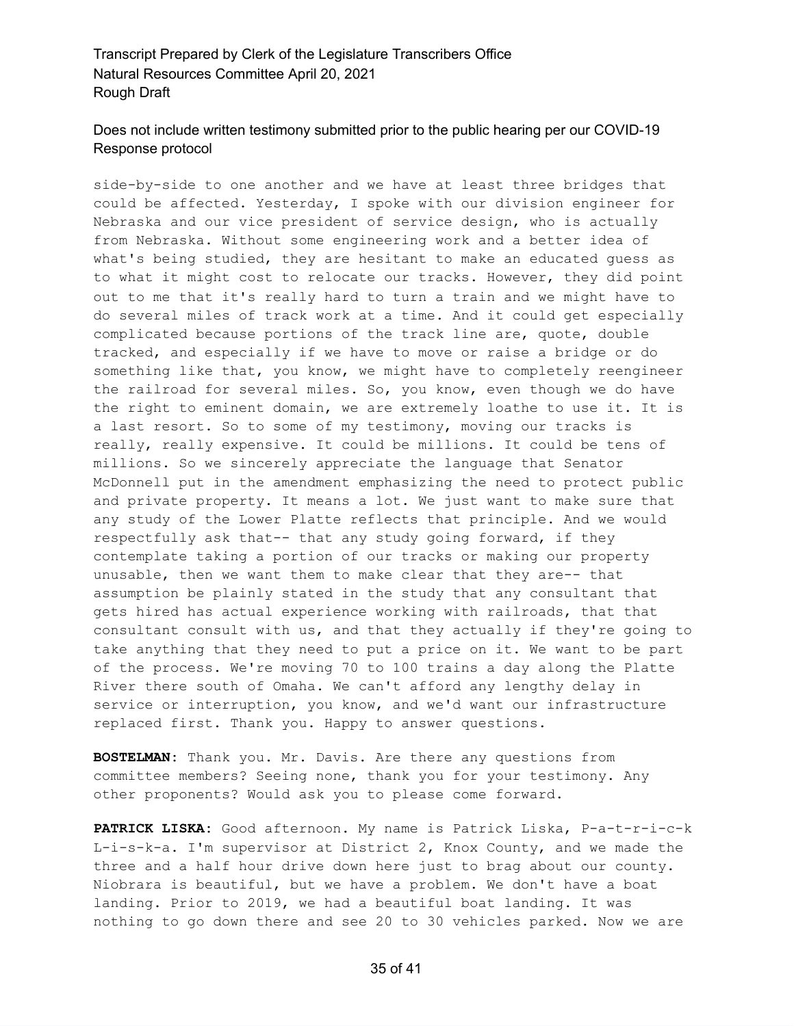#### Does not include written testimony submitted prior to the public hearing per our COVID-19 Response protocol

side-by-side to one another and we have at least three bridges that could be affected. Yesterday, I spoke with our division engineer for Nebraska and our vice president of service design, who is actually from Nebraska. Without some engineering work and a better idea of what's being studied, they are hesitant to make an educated guess as to what it might cost to relocate our tracks. However, they did point out to me that it's really hard to turn a train and we might have to do several miles of track work at a time. And it could get especially complicated because portions of the track line are, quote, double tracked, and especially if we have to move or raise a bridge or do something like that, you know, we might have to completely reengineer the railroad for several miles. So, you know, even though we do have the right to eminent domain, we are extremely loathe to use it. It is a last resort. So to some of my testimony, moving our tracks is really, really expensive. It could be millions. It could be tens of millions. So we sincerely appreciate the language that Senator McDonnell put in the amendment emphasizing the need to protect public and private property. It means a lot. We just want to make sure that any study of the Lower Platte reflects that principle. And we would respectfully ask that-- that any study going forward, if they contemplate taking a portion of our tracks or making our property unusable, then we want them to make clear that they are-- that assumption be plainly stated in the study that any consultant that gets hired has actual experience working with railroads, that that consultant consult with us, and that they actually if they're going to take anything that they need to put a price on it. We want to be part of the process. We're moving 70 to 100 trains a day along the Platte River there south of Omaha. We can't afford any lengthy delay in service or interruption, you know, and we'd want our infrastructure replaced first. Thank you. Happy to answer questions.

**BOSTELMAN:** Thank you. Mr. Davis. Are there any questions from committee members? Seeing none, thank you for your testimony. Any other proponents? Would ask you to please come forward.

**PATRICK LISKA:** Good afternoon. My name is Patrick Liska, P-a-t-r-i-c-k L-i-s-k-a. I'm supervisor at District 2, Knox County, and we made the three and a half hour drive down here just to brag about our county. Niobrara is beautiful, but we have a problem. We don't have a boat landing. Prior to 2019, we had a beautiful boat landing. It was nothing to go down there and see 20 to 30 vehicles parked. Now we are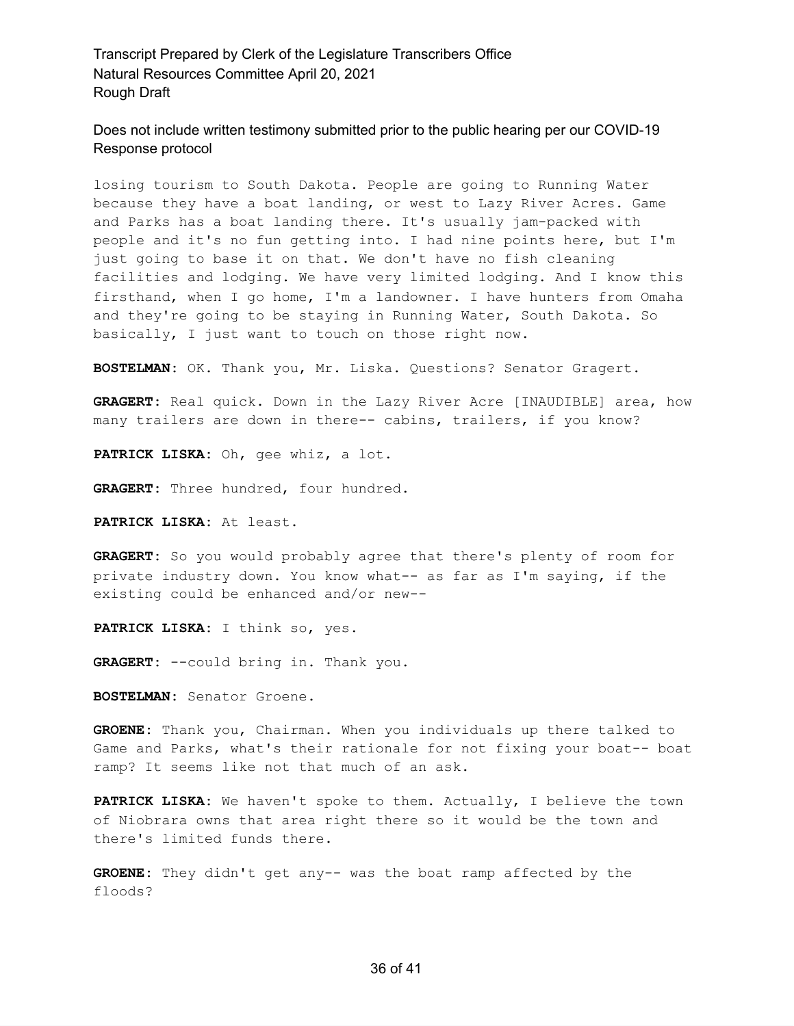Does not include written testimony submitted prior to the public hearing per our COVID-19 Response protocol

losing tourism to South Dakota. People are going to Running Water because they have a boat landing, or west to Lazy River Acres. Game and Parks has a boat landing there. It's usually jam-packed with people and it's no fun getting into. I had nine points here, but I'm just going to base it on that. We don't have no fish cleaning facilities and lodging. We have very limited lodging. And I know this firsthand, when I go home, I'm a landowner. I have hunters from Omaha and they're going to be staying in Running Water, South Dakota. So basically, I just want to touch on those right now.

**BOSTELMAN:** OK. Thank you, Mr. Liska. Questions? Senator Gragert.

**GRAGERT:** Real quick. Down in the Lazy River Acre [INAUDIBLE] area, how many trailers are down in there-- cabins, trailers, if you know?

**PATRICK LISKA:** Oh, gee whiz, a lot.

**GRAGERT:** Three hundred, four hundred.

**PATRICK LISKA:** At least.

**GRAGERT:** So you would probably agree that there's plenty of room for private industry down. You know what-- as far as I'm saying, if the existing could be enhanced and/or new--

**PATRICK LISKA:** I think so, yes.

**GRAGERT:** --could bring in. Thank you.

**BOSTELMAN:** Senator Groene.

**GROENE:** Thank you, Chairman. When you individuals up there talked to Game and Parks, what's their rationale for not fixing your boat-- boat ramp? It seems like not that much of an ask.

**PATRICK LISKA:** We haven't spoke to them. Actually, I believe the town of Niobrara owns that area right there so it would be the town and there's limited funds there.

**GROENE:** They didn't get any-- was the boat ramp affected by the floods?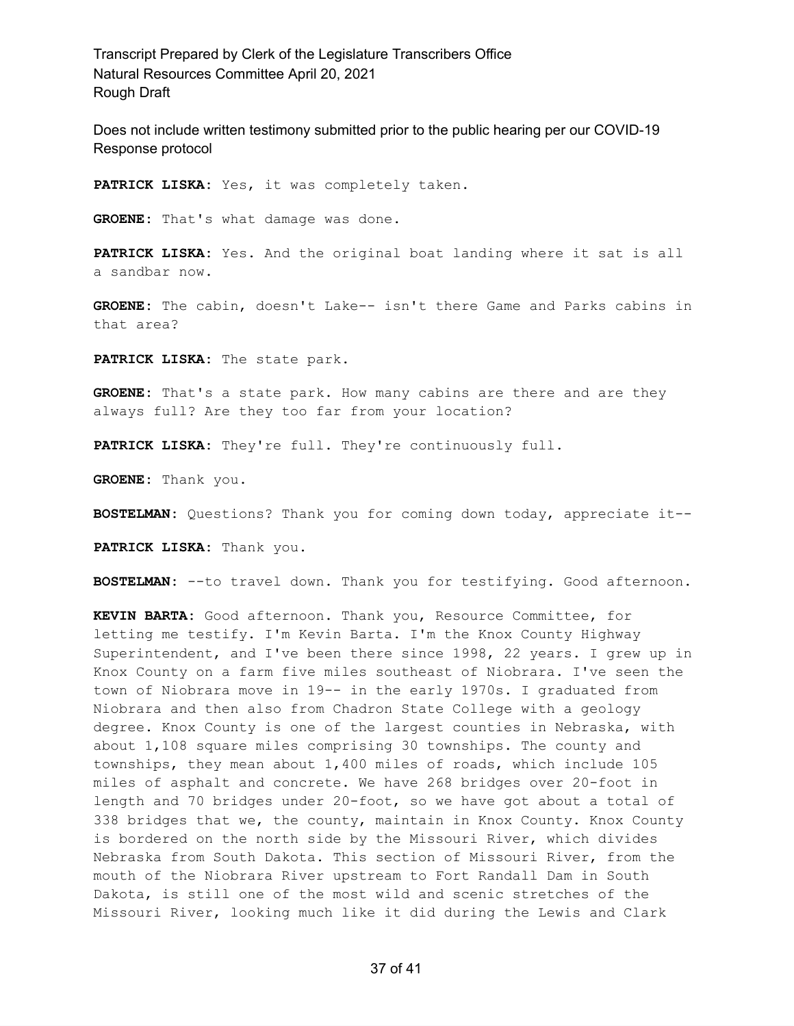Does not include written testimony submitted prior to the public hearing per our COVID-19 Response protocol

**PATRICK LISKA:** Yes, it was completely taken.

**GROENE:** That's what damage was done.

**PATRICK LISKA:** Yes. And the original boat landing where it sat is all a sandbar now.

**GROENE:** The cabin, doesn't Lake-- isn't there Game and Parks cabins in that area?

**PATRICK LISKA:** The state park.

**GROENE:** That's a state park. How many cabins are there and are they always full? Are they too far from your location?

**PATRICK LISKA:** They're full. They're continuously full.

**GROENE:** Thank you.

**BOSTELMAN:** Questions? Thank you for coming down today, appreciate it--

**PATRICK LISKA:** Thank you.

**BOSTELMAN:** --to travel down. Thank you for testifying. Good afternoon.

**KEVIN BARTA:** Good afternoon. Thank you, Resource Committee, for letting me testify. I'm Kevin Barta. I'm the Knox County Highway Superintendent, and I've been there since 1998, 22 years. I grew up in Knox County on a farm five miles southeast of Niobrara. I've seen the town of Niobrara move in 19-- in the early 1970s. I graduated from Niobrara and then also from Chadron State College with a geology degree. Knox County is one of the largest counties in Nebraska, with about 1,108 square miles comprising 30 townships. The county and townships, they mean about 1,400 miles of roads, which include 105 miles of asphalt and concrete. We have 268 bridges over 20-foot in length and 70 bridges under 20-foot, so we have got about a total of 338 bridges that we, the county, maintain in Knox County. Knox County is bordered on the north side by the Missouri River, which divides Nebraska from South Dakota. This section of Missouri River, from the mouth of the Niobrara River upstream to Fort Randall Dam in South Dakota, is still one of the most wild and scenic stretches of the Missouri River, looking much like it did during the Lewis and Clark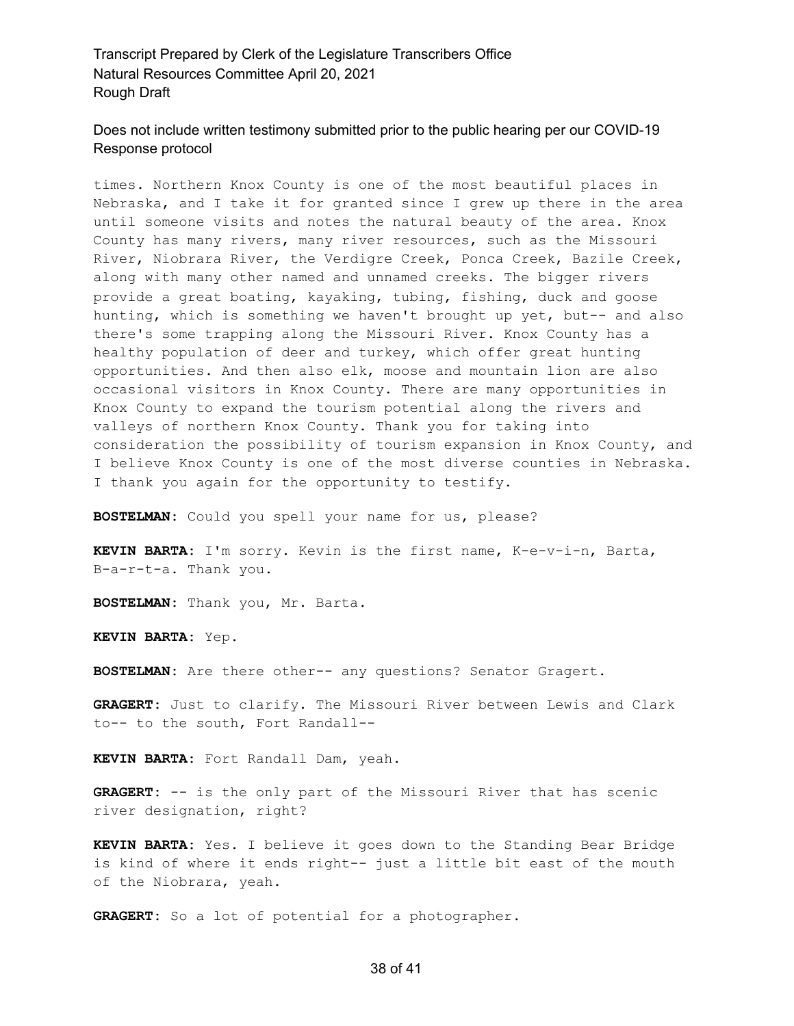#### Does not include written testimony submitted prior to the public hearing per our COVID-19 Response protocol

times. Northern Knox County is one of the most beautiful places in Nebraska, and I take it for granted since I grew up there in the area until someone visits and notes the natural beauty of the area. Knox County has many rivers, many river resources, such as the Missouri River, Niobrara River, the Verdigre Creek, Ponca Creek, Bazile Creek, along with many other named and unnamed creeks. The bigger rivers provide a great boating, kayaking, tubing, fishing, duck and goose hunting, which is something we haven't brought up yet, but-- and also there's some trapping along the Missouri River. Knox County has a healthy population of deer and turkey, which offer great hunting opportunities. And then also elk, moose and mountain lion are also occasional visitors in Knox County. There are many opportunities in Knox County to expand the tourism potential along the rivers and valleys of northern Knox County. Thank you for taking into consideration the possibility of tourism expansion in Knox County, and I believe Knox County is one of the most diverse counties in Nebraska. I thank you again for the opportunity to testify.

**BOSTELMAN:** Could you spell your name for us, please?

**KEVIN BARTA:** I'm sorry. Kevin is the first name, K-e-v-i-n, Barta, B-a-r-t-a. Thank you.

**BOSTELMAN:** Thank you, Mr. Barta.

**KEVIN BARTA:** Yep.

**BOSTELMAN:** Are there other-- any questions? Senator Gragert.

**GRAGERT:** Just to clarify. The Missouri River between Lewis and Clark to-- to the south, Fort Randall--

**KEVIN BARTA:** Fort Randall Dam, yeah.

**GRAGERT:** -- is the only part of the Missouri River that has scenic river designation, right?

**KEVIN BARTA:** Yes. I believe it goes down to the Standing Bear Bridge is kind of where it ends right-- just a little bit east of the mouth of the Niobrara, yeah.

**GRAGERT:** So a lot of potential for a photographer.

#### 38 of 41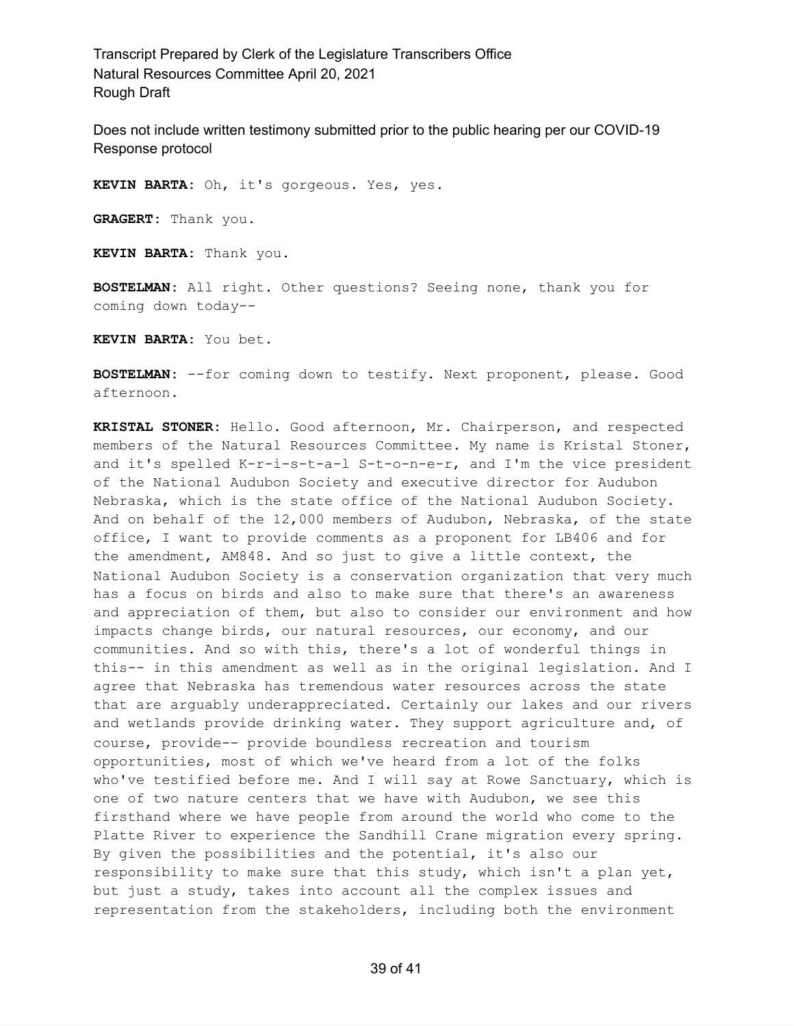Does not include written testimony submitted prior to the public hearing per our COVID-19 Response protocol

**KEVIN BARTA:** Oh, it's gorgeous. Yes, yes.

**GRAGERT:** Thank you.

**KEVIN BARTA:** Thank you.

**BOSTELMAN:** All right. Other questions? Seeing none, thank you for coming down today--

**KEVIN BARTA:** You bet.

**BOSTELMAN:** --for coming down to testify. Next proponent, please. Good afternoon.

**KRISTAL STONER:** Hello. Good afternoon, Mr. Chairperson, and respected members of the Natural Resources Committee. My name is Kristal Stoner, and it's spelled K-r-i-s-t-a-l S-t-o-n-e-r, and I'm the vice president of the National Audubon Society and executive director for Audubon Nebraska, which is the state office of the National Audubon Society. And on behalf of the 12,000 members of Audubon, Nebraska, of the state office, I want to provide comments as a proponent for LB406 and for the amendment, AM848. And so just to give a little context, the National Audubon Society is a conservation organization that very much has a focus on birds and also to make sure that there's an awareness and appreciation of them, but also to consider our environment and how impacts change birds, our natural resources, our economy, and our communities. And so with this, there's a lot of wonderful things in this-- in this amendment as well as in the original legislation. And I agree that Nebraska has tremendous water resources across the state that are arguably underappreciated. Certainly our lakes and our rivers and wetlands provide drinking water. They support agriculture and, of course, provide-- provide boundless recreation and tourism opportunities, most of which we've heard from a lot of the folks who've testified before me. And I will say at Rowe Sanctuary, which is one of two nature centers that we have with Audubon, we see this firsthand where we have people from around the world who come to the Platte River to experience the Sandhill Crane migration every spring. By given the possibilities and the potential, it's also our responsibility to make sure that this study, which isn't a plan yet, but just a study, takes into account all the complex issues and representation from the stakeholders, including both the environment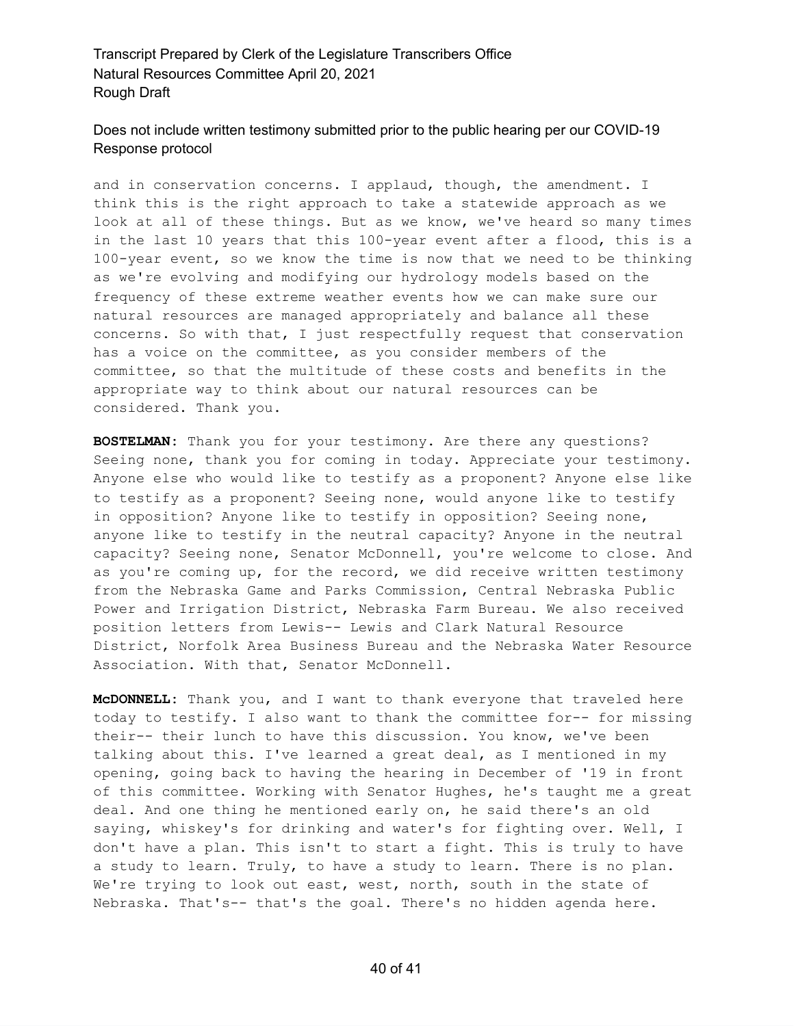# Does not include written testimony submitted prior to the public hearing per our COVID-19 Response protocol

and in conservation concerns. I applaud, though, the amendment. I think this is the right approach to take a statewide approach as we look at all of these things. But as we know, we've heard so many times in the last 10 years that this 100-year event after a flood, this is a 100-year event, so we know the time is now that we need to be thinking as we're evolving and modifying our hydrology models based on the frequency of these extreme weather events how we can make sure our natural resources are managed appropriately and balance all these concerns. So with that, I just respectfully request that conservation has a voice on the committee, as you consider members of the committee, so that the multitude of these costs and benefits in the appropriate way to think about our natural resources can be considered. Thank you.

**BOSTELMAN:** Thank you for your testimony. Are there any questions? Seeing none, thank you for coming in today. Appreciate your testimony. Anyone else who would like to testify as a proponent? Anyone else like to testify as a proponent? Seeing none, would anyone like to testify in opposition? Anyone like to testify in opposition? Seeing none, anyone like to testify in the neutral capacity? Anyone in the neutral capacity? Seeing none, Senator McDonnell, you're welcome to close. And as you're coming up, for the record, we did receive written testimony from the Nebraska Game and Parks Commission, Central Nebraska Public Power and Irrigation District, Nebraska Farm Bureau. We also received position letters from Lewis-- Lewis and Clark Natural Resource District, Norfolk Area Business Bureau and the Nebraska Water Resource Association. With that, Senator McDonnell.

**McDONNELL:** Thank you, and I want to thank everyone that traveled here today to testify. I also want to thank the committee for-- for missing their-- their lunch to have this discussion. You know, we've been talking about this. I've learned a great deal, as I mentioned in my opening, going back to having the hearing in December of '19 in front of this committee. Working with Senator Hughes, he's taught me a great deal. And one thing he mentioned early on, he said there's an old saying, whiskey's for drinking and water's for fighting over. Well, I don't have a plan. This isn't to start a fight. This is truly to have a study to learn. Truly, to have a study to learn. There is no plan. We're trying to look out east, west, north, south in the state of Nebraska. That's-- that's the goal. There's no hidden agenda here.